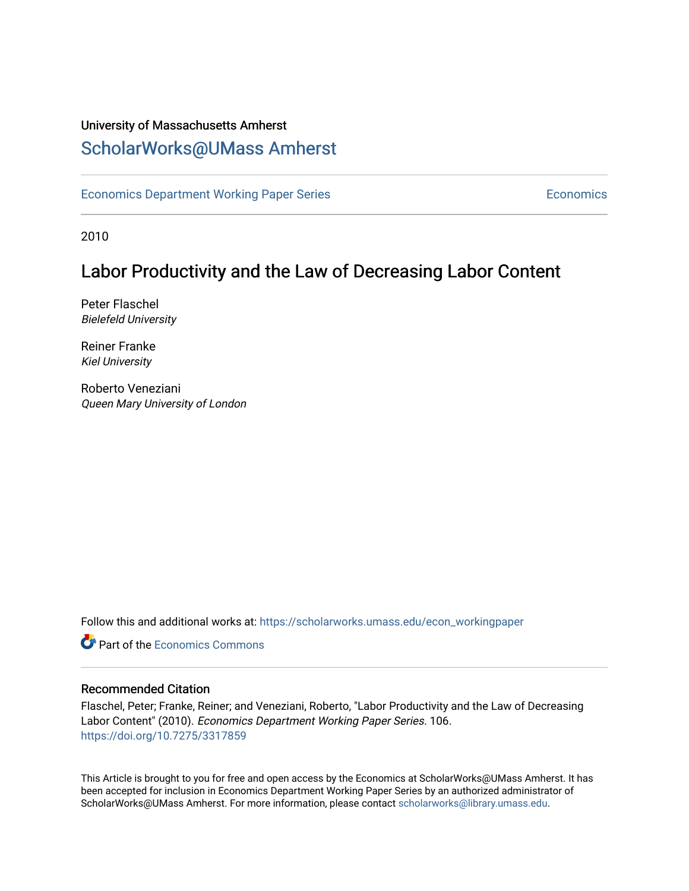### University of Massachusetts Amherst [ScholarWorks@UMass Amherst](https://scholarworks.umass.edu/)

[Economics Department Working Paper Series](https://scholarworks.umass.edu/econ_workingpaper) **Economics** Economics

2010

### Labor Productivity and the Law of Decreasing Labor Content

Peter Flaschel Bielefeld University

Reiner Franke Kiel University

Roberto Veneziani Queen Mary University of London

Follow this and additional works at: [https://scholarworks.umass.edu/econ\\_workingpaper](https://scholarworks.umass.edu/econ_workingpaper?utm_source=scholarworks.umass.edu%2Fecon_workingpaper%2F106&utm_medium=PDF&utm_campaign=PDFCoverPages) 

**C** Part of the [Economics Commons](http://network.bepress.com/hgg/discipline/340?utm_source=scholarworks.umass.edu%2Fecon_workingpaper%2F106&utm_medium=PDF&utm_campaign=PDFCoverPages)

#### Recommended Citation

Flaschel, Peter; Franke, Reiner; and Veneziani, Roberto, "Labor Productivity and the Law of Decreasing Labor Content" (2010). Economics Department Working Paper Series. 106. <https://doi.org/10.7275/3317859>

This Article is brought to you for free and open access by the Economics at ScholarWorks@UMass Amherst. It has been accepted for inclusion in Economics Department Working Paper Series by an authorized administrator of ScholarWorks@UMass Amherst. For more information, please contact [scholarworks@library.umass.edu.](mailto:scholarworks@library.umass.edu)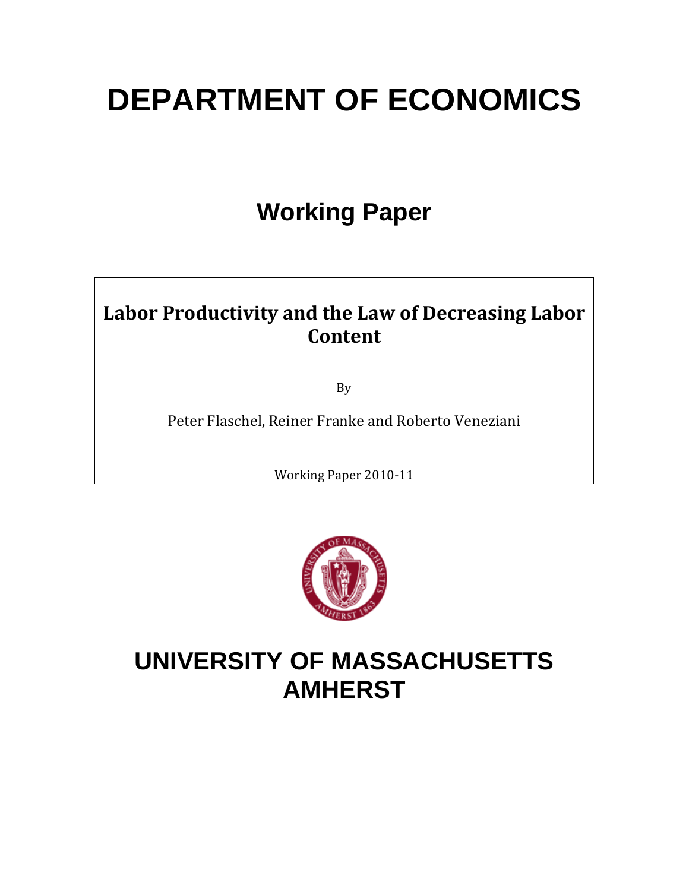# **DEPARTMENT OF ECONOMICS**

# **Working Paper**

### **Labor Productivity and the Law of Decreasing Labor Content**

By

Peter Flaschel, Reiner Franke and Roberto Veneziani

Working Paper 2010‐11



# **UNIVERSITY OF MASSACHUSETTS AMHERST**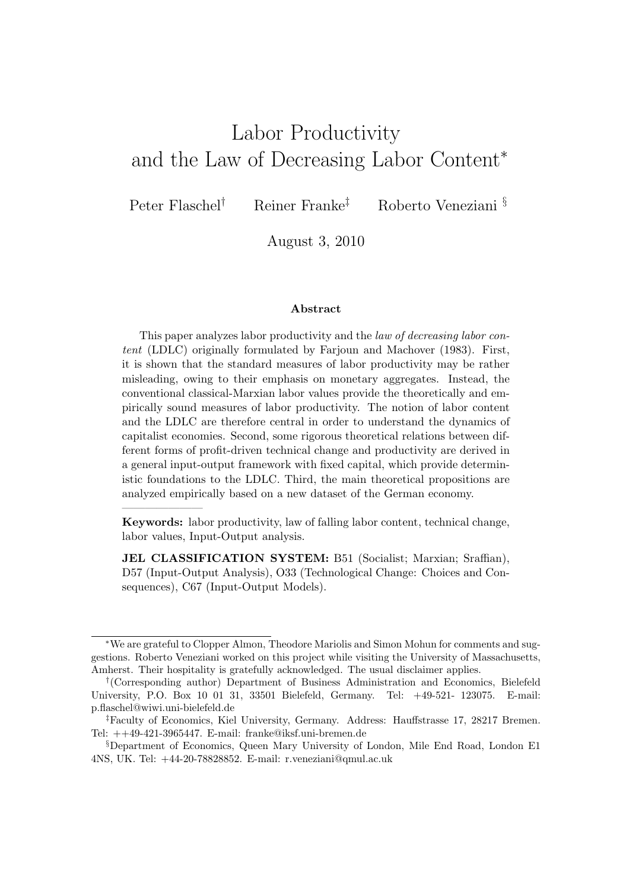## Labor Productivity and the Law of Decreasing Labor Content<sup>∗</sup>

———————

Peter Flaschel† Reiner Franke‡ Roberto Veneziani §

August 3, 2010

#### Abstract

This paper analyzes labor productivity and the law of decreasing labor content (LDLC) originally formulated by Farjoun and Machover (1983). First, it is shown that the standard measures of labor productivity may be rather misleading, owing to their emphasis on monetary aggregates. Instead, the conventional classical-Marxian labor values provide the theoretically and empirically sound measures of labor productivity. The notion of labor content and the LDLC are therefore central in order to understand the dynamics of capitalist economies. Second, some rigorous theoretical relations between different forms of profit-driven technical change and productivity are derived in a general input-output framework with fixed capital, which provide deterministic foundations to the LDLC. Third, the main theoretical propositions are analyzed empirically based on a new dataset of the German economy.

Keywords: labor productivity, law of falling labor content, technical change, labor values, Input-Output analysis.

JEL CLASSIFICATION SYSTEM: B51 (Socialist; Marxian; Sraffian), D57 (Input-Output Analysis), O33 (Technological Change: Choices and Consequences), C67 (Input-Output Models).

<sup>∗</sup>We are grateful to Clopper Almon, Theodore Mariolis and Simon Mohun for comments and suggestions. Roberto Veneziani worked on this project while visiting the University of Massachusetts, Amherst. Their hospitality is gratefully acknowledged. The usual disclaimer applies.

<sup>†</sup> (Corresponding author) Department of Business Administration and Economics, Bielefeld University, P.O. Box 10 01 31, 33501 Bielefeld, Germany. Tel: +49-521- 123075. E-mail: p.flaschel@wiwi.uni-bielefeld.de

<sup>‡</sup>Faculty of Economics, Kiel University, Germany. Address: Hauffstrasse 17, 28217 Bremen. Tel: ++49-421-3965447. E-mail: franke@iksf.uni-bremen.de

<sup>§</sup>Department of Economics, Queen Mary University of London, Mile End Road, London E1 4NS, UK. Tel: +44-20-78828852. E-mail: r.veneziani@qmul.ac.uk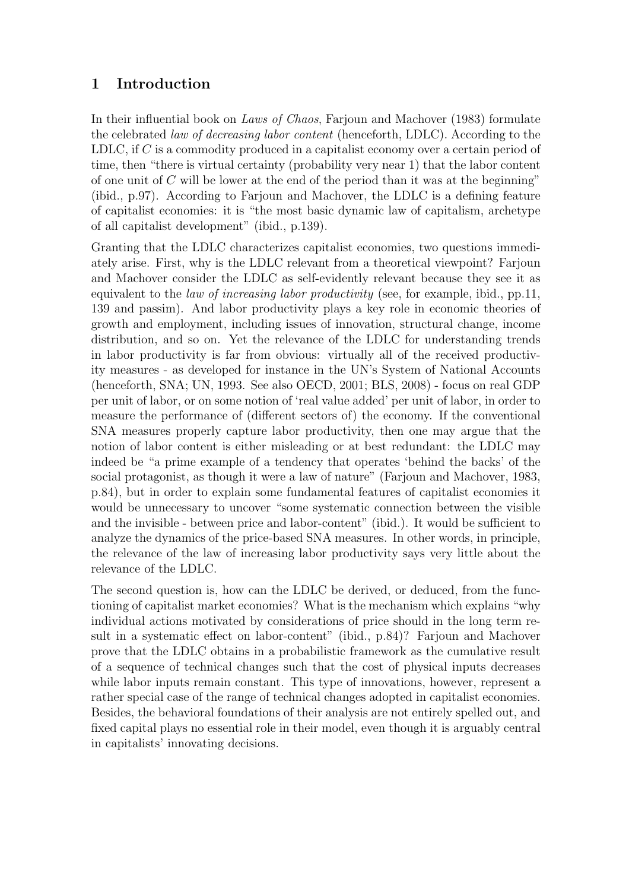### 1 Introduction

In their influential book on Laws of Chaos, Farjoun and Machover (1983) formulate the celebrated law of decreasing labor content (henceforth, LDLC). According to the LDLC, if C is a commodity produced in a capitalist economy over a certain period of time, then "there is virtual certainty (probability very near 1) that the labor content of one unit of  $C$  will be lower at the end of the period than it was at the beginning" (ibid., p.97). According to Farjoun and Machover, the LDLC is a defining feature of capitalist economies: it is "the most basic dynamic law of capitalism, archetype of all capitalist development" (ibid., p.139).

Granting that the LDLC characterizes capitalist economies, two questions immediately arise. First, why is the LDLC relevant from a theoretical viewpoint? Farjoun and Machover consider the LDLC as self-evidently relevant because they see it as equivalent to the *law of increasing labor productivity* (see, for example, ibid., pp.11, 139 and passim). And labor productivity plays a key role in economic theories of growth and employment, including issues of innovation, structural change, income distribution, and so on. Yet the relevance of the LDLC for understanding trends in labor productivity is far from obvious: virtually all of the received productivity measures - as developed for instance in the UN's System of National Accounts (henceforth, SNA; UN, 1993. See also OECD, 2001; BLS, 2008) - focus on real GDP per unit of labor, or on some notion of 'real value added' per unit of labor, in order to measure the performance of (different sectors of) the economy. If the conventional SNA measures properly capture labor productivity, then one may argue that the notion of labor content is either misleading or at best redundant: the LDLC may indeed be "a prime example of a tendency that operates 'behind the backs' of the social protagonist, as though it were a law of nature" (Farjoun and Machover, 1983, p.84), but in order to explain some fundamental features of capitalist economies it would be unnecessary to uncover "some systematic connection between the visible and the invisible - between price and labor-content" (ibid.). It would be sufficient to analyze the dynamics of the price-based SNA measures. In other words, in principle, the relevance of the law of increasing labor productivity says very little about the relevance of the LDLC.

The second question is, how can the LDLC be derived, or deduced, from the functioning of capitalist market economies? What is the mechanism which explains "why individual actions motivated by considerations of price should in the long term result in a systematic effect on labor-content" (ibid., p.84)? Farjoun and Machover prove that the LDLC obtains in a probabilistic framework as the cumulative result of a sequence of technical changes such that the cost of physical inputs decreases while labor inputs remain constant. This type of innovations, however, represent a rather special case of the range of technical changes adopted in capitalist economies. Besides, the behavioral foundations of their analysis are not entirely spelled out, and fixed capital plays no essential role in their model, even though it is arguably central in capitalists' innovating decisions.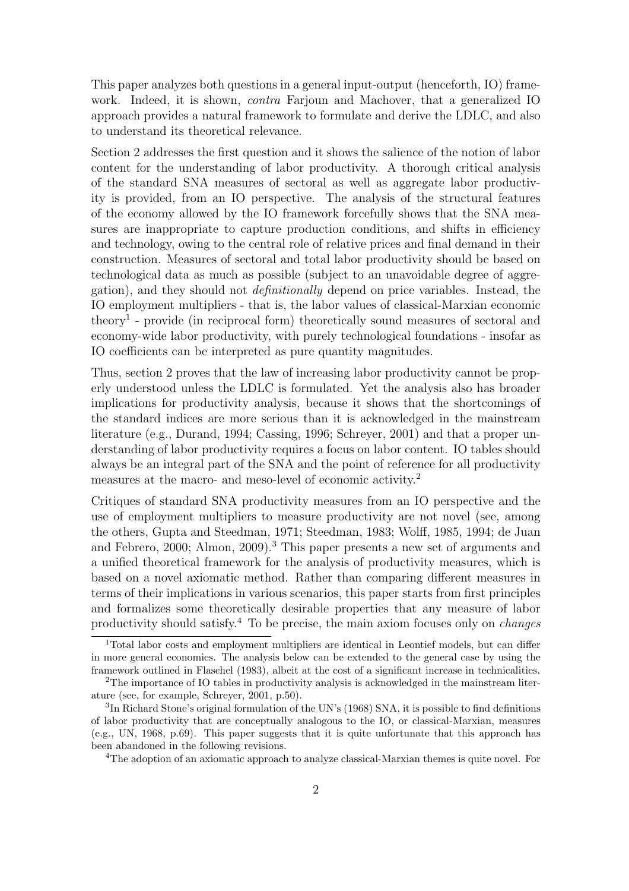This paper analyzes both questions in a general input-output (henceforth, IO) framework. Indeed, it is shown, contra Farjoun and Machover, that a generalized IO approach provides a natural framework to formulate and derive the LDLC, and also to understand its theoretical relevance.

Section 2 addresses the first question and it shows the salience of the notion of labor content for the understanding of labor productivity. A thorough critical analysis of the standard SNA measures of sectoral as well as aggregate labor productivity is provided, from an IO perspective. The analysis of the structural features of the economy allowed by the IO framework forcefully shows that the SNA measures are inappropriate to capture production conditions, and shifts in efficiency and technology, owing to the central role of relative prices and final demand in their construction. Measures of sectoral and total labor productivity should be based on technological data as much as possible (subject to an unavoidable degree of aggregation), and they should not definitionally depend on price variables. Instead, the IO employment multipliers - that is, the labor values of classical-Marxian economic theory<sup>1</sup> - provide (in reciprocal form) theoretically sound measures of sectoral and economy-wide labor productivity, with purely technological foundations - insofar as IO coefficients can be interpreted as pure quantity magnitudes.

Thus, section 2 proves that the law of increasing labor productivity cannot be properly understood unless the LDLC is formulated. Yet the analysis also has broader implications for productivity analysis, because it shows that the shortcomings of the standard indices are more serious than it is acknowledged in the mainstream literature (e.g., Durand, 1994; Cassing, 1996; Schreyer, 2001) and that a proper understanding of labor productivity requires a focus on labor content. IO tables should always be an integral part of the SNA and the point of reference for all productivity measures at the macro- and meso-level of economic activity.<sup>2</sup>

Critiques of standard SNA productivity measures from an IO perspective and the use of employment multipliers to measure productivity are not novel (see, among the others, Gupta and Steedman, 1971; Steedman, 1983; Wolff, 1985, 1994; de Juan and Febrero, 2000; Almon, 2009).<sup>3</sup> This paper presents a new set of arguments and a unified theoretical framework for the analysis of productivity measures, which is based on a novel axiomatic method. Rather than comparing different measures in terms of their implications in various scenarios, this paper starts from first principles and formalizes some theoretically desirable properties that any measure of labor productivity should satisfy.<sup>4</sup> To be precise, the main axiom focuses only on changes

<sup>4</sup>The adoption of an axiomatic approach to analyze classical-Marxian themes is quite novel. For

<sup>1</sup>Total labor costs and employment multipliers are identical in Leontief models, but can differ in more general economies. The analysis below can be extended to the general case by using the framework outlined in Flaschel (1983), albeit at the cost of a significant increase in technicalities.

<sup>2</sup>The importance of IO tables in productivity analysis is acknowledged in the mainstream literature (see, for example, Schreyer, 2001, p.50).

 ${}^{3}$ In Richard Stone's original formulation of the UN's (1968) SNA, it is possible to find definitions of labor productivity that are conceptually analogous to the IO, or classical-Marxian, measures (e.g., UN, 1968, p.69). This paper suggests that it is quite unfortunate that this approach has been abandoned in the following revisions.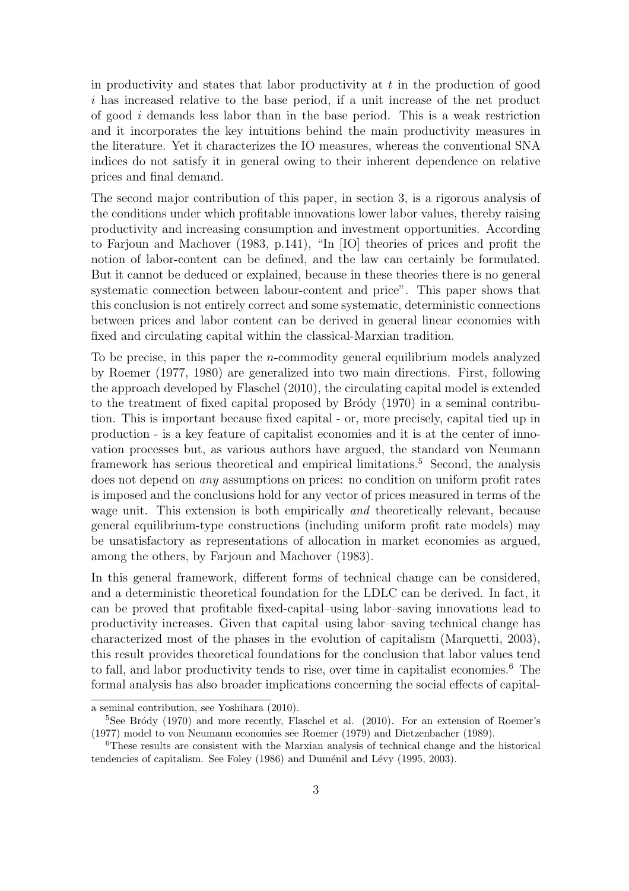in productivity and states that labor productivity at  $t$  in the production of good i has increased relative to the base period, if a unit increase of the net product of good i demands less labor than in the base period. This is a weak restriction and it incorporates the key intuitions behind the main productivity measures in the literature. Yet it characterizes the IO measures, whereas the conventional SNA indices do not satisfy it in general owing to their inherent dependence on relative prices and final demand.

The second major contribution of this paper, in section 3, is a rigorous analysis of the conditions under which profitable innovations lower labor values, thereby raising productivity and increasing consumption and investment opportunities. According to Farjoun and Machover (1983, p.141), "In [IO] theories of prices and profit the notion of labor-content can be defined, and the law can certainly be formulated. But it cannot be deduced or explained, because in these theories there is no general systematic connection between labour-content and price". This paper shows that this conclusion is not entirely correct and some systematic, deterministic connections between prices and labor content can be derived in general linear economies with fixed and circulating capital within the classical-Marxian tradition.

To be precise, in this paper the *n*-commodity general equilibrium models analyzed by Roemer (1977, 1980) are generalized into two main directions. First, following the approach developed by Flaschel (2010), the circulating capital model is extended to the treatment of fixed capital proposed by Br $\acute{o}dy$  (1970) in a seminal contribution. This is important because fixed capital - or, more precisely, capital tied up in production - is a key feature of capitalist economies and it is at the center of innovation processes but, as various authors have argued, the standard von Neumann framework has serious theoretical and empirical limitations.<sup>5</sup> Second, the analysis does not depend on any assumptions on prices: no condition on uniform profit rates is imposed and the conclusions hold for any vector of prices measured in terms of the wage unit. This extension is both empirically *and* theoretically relevant, because general equilibrium-type constructions (including uniform profit rate models) may be unsatisfactory as representations of allocation in market economies as argued, among the others, by Farjoun and Machover (1983).

In this general framework, different forms of technical change can be considered, and a deterministic theoretical foundation for the LDLC can be derived. In fact, it can be proved that profitable fixed-capital–using labor–saving innovations lead to productivity increases. Given that capital–using labor–saving technical change has characterized most of the phases in the evolution of capitalism (Marquetti, 2003), this result provides theoretical foundations for the conclusion that labor values tend to fall, and labor productivity tends to rise, over time in capitalist economies.<sup>6</sup> The formal analysis has also broader implications concerning the social effects of capital-

a seminal contribution, see Yoshihara (2010).

 $5$ See Bródy (1970) and more recently, Flaschel et al. (2010). For an extension of Roemer's (1977) model to von Neumann economies see Roemer (1979) and Dietzenbacher (1989).

<sup>6</sup>These results are consistent with the Marxian analysis of technical change and the historical tendencies of capitalism. See Foley (1986) and Duménil and Lévy (1995, 2003).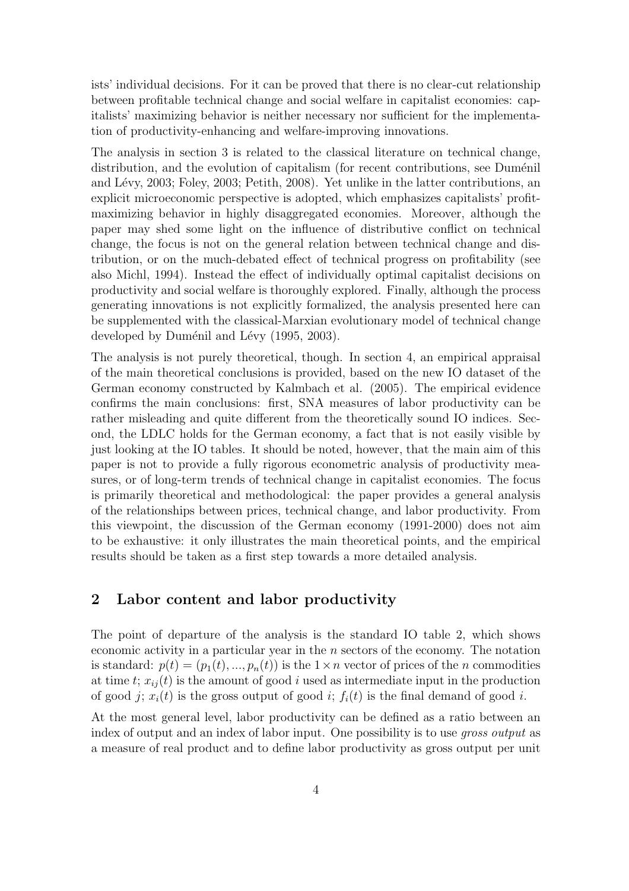ists' individual decisions. For it can be proved that there is no clear-cut relationship between profitable technical change and social welfare in capitalist economies: capitalists' maximizing behavior is neither necessary nor sufficient for the implementation of productivity-enhancing and welfare-improving innovations.

The analysis in section 3 is related to the classical literature on technical change, distribution, and the evolution of capitalism (for recent contributions, see Duménil and Lévy, 2003; Foley, 2003; Petith, 2008). Yet unlike in the latter contributions, an explicit microeconomic perspective is adopted, which emphasizes capitalists' profitmaximizing behavior in highly disaggregated economies. Moreover, although the paper may shed some light on the influence of distributive conflict on technical change, the focus is not on the general relation between technical change and distribution, or on the much-debated effect of technical progress on profitability (see also Michl, 1994). Instead the effect of individually optimal capitalist decisions on productivity and social welfare is thoroughly explored. Finally, although the process generating innovations is not explicitly formalized, the analysis presented here can be supplemented with the classical-Marxian evolutionary model of technical change developed by Duménil and Lévy (1995, 2003).

The analysis is not purely theoretical, though. In section 4, an empirical appraisal of the main theoretical conclusions is provided, based on the new IO dataset of the German economy constructed by Kalmbach et al. (2005). The empirical evidence confirms the main conclusions: first, SNA measures of labor productivity can be rather misleading and quite different from the theoretically sound IO indices. Second, the LDLC holds for the German economy, a fact that is not easily visible by just looking at the IO tables. It should be noted, however, that the main aim of this paper is not to provide a fully rigorous econometric analysis of productivity measures, or of long-term trends of technical change in capitalist economies. The focus is primarily theoretical and methodological: the paper provides a general analysis of the relationships between prices, technical change, and labor productivity. From this viewpoint, the discussion of the German economy (1991-2000) does not aim to be exhaustive: it only illustrates the main theoretical points, and the empirical results should be taken as a first step towards a more detailed analysis.

#### 2 Labor content and labor productivity

The point of departure of the analysis is the standard IO table 2, which shows economic activity in a particular year in the  $n$  sectors of the economy. The notation is standard:  $p(t) = (p_1(t), ..., p_n(t))$  is the  $1 \times n$  vector of prices of the *n* commodities at time t;  $x_{ii}(t)$  is the amount of good i used as intermediate input in the production of good j;  $x_i(t)$  is the gross output of good i;  $f_i(t)$  is the final demand of good i.

At the most general level, labor productivity can be defined as a ratio between an index of output and an index of labor input. One possibility is to use *gross output* as a measure of real product and to define labor productivity as gross output per unit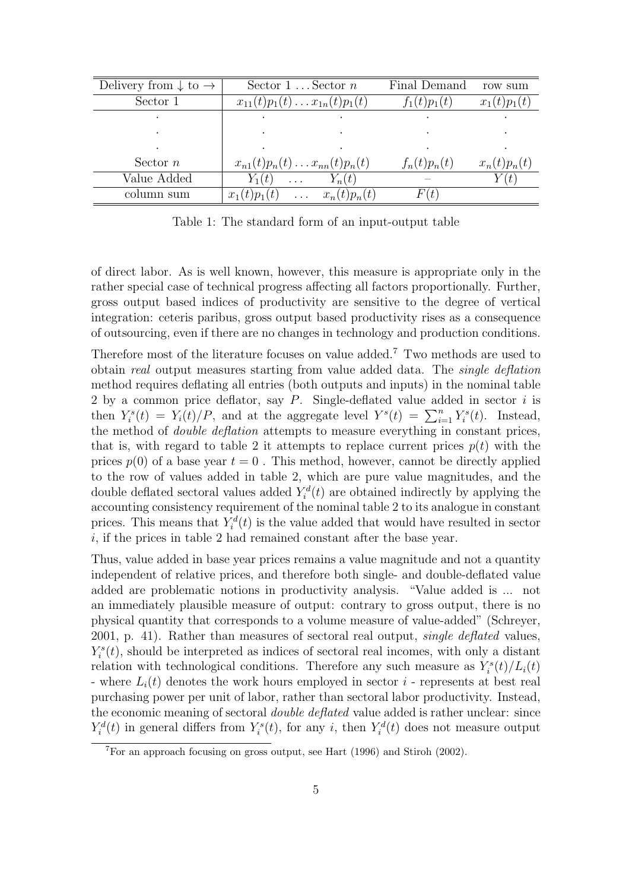| Delivery from $\downarrow$ to $\rightarrow$ | Sector $1 \dots$ Sector $n$      |                       | Final Demand   | row sum        |
|---------------------------------------------|----------------------------------|-----------------------|----------------|----------------|
| Sector 1                                    | $x_{11}(t)p_1(t)x_{1n}(t)p_1(t)$ |                       | $f_1(t)p_1(t)$ | $x_1(t)p_1(t)$ |
|                                             |                                  |                       |                |                |
|                                             |                                  |                       |                |                |
|                                             |                                  |                       |                |                |
| Sector $n$                                  | $x_{n1}(t)p_n(t)x_{nn}(t)p_n(t)$ |                       | $f_n(t)p_n(t)$ | $x_n(t)p_n(t)$ |
| Value Added                                 | $Y_1(t)$<br>$\cdots$             | $Y_n(t)$              |                | (t)            |
| column sum                                  | $x_1(t)p_1(t)$                   | $\ldots x_n(t)p_n(t)$ | F(t)           |                |

Table 1: The standard form of an input-output table

of direct labor. As is well known, however, this measure is appropriate only in the rather special case of technical progress affecting all factors proportionally. Further, gross output based indices of productivity are sensitive to the degree of vertical integration: ceteris paribus, gross output based productivity rises as a consequence of outsourcing, even if there are no changes in technology and production conditions.

Therefore most of the literature focuses on value added.<sup>7</sup> Two methods are used to obtain real output measures starting from value added data. The single deflation method requires deflating all entries (both outputs and inputs) in the nominal table 2 by a common price deflator, say  $P$ . Single-deflated value added in sector  $i$  is z by a common price denator, say r. single-denated value added in sector *t* is<br>then  $Y_i^s(t) = Y_i(t)/P$ , and at the aggregate level  $Y^s(t) = \sum_{i=1}^n Y_i^s(t)$ . Instead, the method of double deflation attempts to measure everything in constant prices, that is, with regard to table 2 it attempts to replace current prices  $p(t)$  with the prices  $p(0)$  of a base year  $t = 0$ . This method, however, cannot be directly applied to the row of values added in table 2, which are pure value magnitudes, and the double deflated sectoral values added  $Y_i^d(t)$  are obtained indirectly by applying the accounting consistency requirement of the nominal table 2 to its analogue in constant prices. This means that  $Y_i^d(t)$  is the value added that would have resulted in sector i, if the prices in table 2 had remained constant after the base year.

Thus, value added in base year prices remains a value magnitude and not a quantity independent of relative prices, and therefore both single- and double-deflated value added are problematic notions in productivity analysis. "Value added is ... not an immediately plausible measure of output: contrary to gross output, there is no physical quantity that corresponds to a volume measure of value-added" (Schreyer, 2001, p. 41). Rather than measures of sectoral real output, single deflated values,  $Y_i^s(t)$ , should be interpreted as indices of sectoral real incomes, with only a distant relation with technological conditions. Therefore any such measure as  $Y_i^s(t)/L_i(t)$ - where  $L_i(t)$  denotes the work hours employed in sector i - represents at best real purchasing power per unit of labor, rather than sectoral labor productivity. Instead, the economic meaning of sectoral double deflated value added is rather unclear: since  $Y_i^d(t)$  in general differs from  $Y_i^s(t)$ , for any i, then  $Y_i^d(t)$  does not measure output

<sup>7</sup>For an approach focusing on gross output, see Hart (1996) and Stiroh (2002).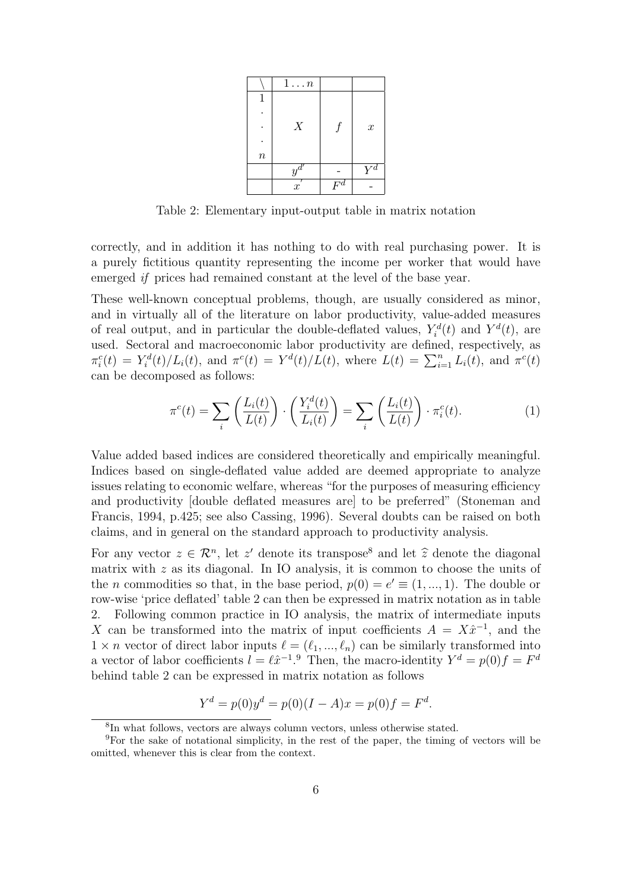|        | $1 \ldots n$        |                    |                    |
|--------|---------------------|--------------------|--------------------|
|        |                     |                    |                    |
|        |                     |                    |                    |
|        | X                   |                    | $\boldsymbol{x}$   |
|        |                     |                    |                    |
| $\, n$ |                     |                    |                    |
|        | $y^{\overline{d}'}$ |                    | $Y^{\overline{d}}$ |
|        | $\boldsymbol{x}$    | $F^{\overline{d}}$ |                    |

Table 2: Elementary input-output table in matrix notation

correctly, and in addition it has nothing to do with real purchasing power. It is a purely fictitious quantity representing the income per worker that would have emerged if prices had remained constant at the level of the base year.

These well-known conceptual problems, though, are usually considered as minor, and in virtually all of the literature on labor productivity, value-added measures of real output, and in particular the double-deflated values,  $Y_i^d(t)$  and  $Y^d(t)$ , are used. Sectoral and macroeconomic labor productivity are defined, respectively, as used. Sectoral and macroeconomic fabor productivity are defined, respectively, as<br>  $\pi_i^c(t) = Y_i^d(t)/L_i(t)$ , and  $\pi^c(t) = Y^d(t)/L(t)$ , where  $L(t) = \sum_{i=1}^n L_i(t)$ , and  $\pi^c(t)$ can be decomposed as follows:

$$
\pi^{c}(t) = \sum_{i} \left( \frac{L_{i}(t)}{L(t)} \right) \cdot \left( \frac{Y_{i}^{d}(t)}{L_{i}(t)} \right) = \sum_{i} \left( \frac{L_{i}(t)}{L(t)} \right) \cdot \pi_{i}^{c}(t). \tag{1}
$$

Value added based indices are considered theoretically and empirically meaningful. Indices based on single-deflated value added are deemed appropriate to analyze issues relating to economic welfare, whereas "for the purposes of measuring efficiency and productivity [double deflated measures are] to be preferred" (Stoneman and Francis, 1994, p.425; see also Cassing, 1996). Several doubts can be raised on both claims, and in general on the standard approach to productivity analysis.

For any vector  $z \in \mathcal{R}^n$ , let z' denote its transpose<sup>8</sup> and let  $\hat{z}$  denote the diagonal matrix with  $z$  as its diagonal. In IO analysis, it is common to choose the units of the *n* commodities so that, in the base period,  $p(0) = e' \equiv (1, ..., 1)$ . The double or row-wise 'price deflated' table 2 can then be expressed in matrix notation as in table 2. Following common practice in IO analysis, the matrix of intermediate inputs X can be transformed into the matrix of input coefficients  $A = X\hat{x}^{-1}$ , and the  $1 \times n$  vector of direct labor inputs  $\ell = (\ell_1, ..., \ell_n)$  can be similarly transformed into a vector of labor coefficients  $l = \ell \hat{x}^{-1}$ . Then, the macro-identity  $Y^d = p(0)f = F^d$ behind table 2 can be expressed in matrix notation as follows

$$
Y^d = p(0)y^d = p(0)(I - A)x = p(0)f = F^d.
$$

<sup>8</sup> In what follows, vectors are always column vectors, unless otherwise stated.

<sup>9</sup>For the sake of notational simplicity, in the rest of the paper, the timing of vectors will be omitted, whenever this is clear from the context.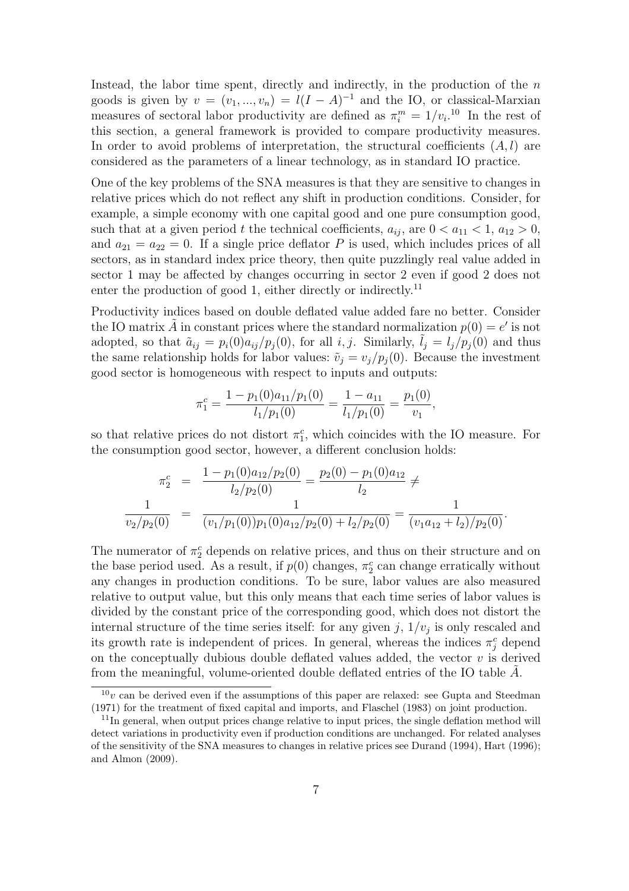Instead, the labor time spent, directly and indirectly, in the production of the  $n$ goods is given by  $v = (v_1, ..., v_n) = l(I - A)^{-1}$  and the IO, or classical-Marxian measures of sectoral labor productivity are defined as  $\pi_i^m = 1/v_i$ <sup>10</sup> In the rest of this section, a general framework is provided to compare productivity measures. In order to avoid problems of interpretation, the structural coefficients  $(A, l)$  are considered as the parameters of a linear technology, as in standard IO practice.

One of the key problems of the SNA measures is that they are sensitive to changes in relative prices which do not reflect any shift in production conditions. Consider, for example, a simple economy with one capital good and one pure consumption good, such that at a given period t the technical coefficients,  $a_{ij}$ , are  $0 < a_{11} < 1$ ,  $a_{12} > 0$ , and  $a_{21} = a_{22} = 0$ . If a single price deflator P is used, which includes prices of all sectors, as in standard index price theory, then quite puzzlingly real value added in sector 1 may be affected by changes occurring in sector 2 even if good 2 does not enter the production of good 1, either directly or indirectly.<sup>11</sup>

Productivity indices based on double deflated value added fare no better. Consider the IO matrix  $\tilde{A}$  in constant prices where the standard normalization  $p(0) = e'$  is not adopted, so that  $\tilde{a}_{ij} = p_i(0)a_{ij}/p_j(0)$ , for all  $i, j$ . Similarly,  $l_i = l_i/p_i(0)$  and thus the same relationship holds for labor values:  $\tilde{v}_i = v_i/p_i(0)$ . Because the investment good sector is homogeneous with respect to inputs and outputs:

$$
\pi_1^c = \frac{1 - p_1(0)a_{11}/p_1(0)}{l_1/p_1(0)} = \frac{1 - a_{11}}{l_1/p_1(0)} = \frac{p_1(0)}{v_1},
$$

so that relative prices do not distort  $\pi_1^c$ , which coincides with the IO measure. For the consumption good sector, however, a different conclusion holds:

$$
\pi_2^c = \frac{1 - p_1(0)a_{12}/p_2(0)}{l_2/p_2(0)} = \frac{p_2(0) - p_1(0)a_{12}}{l_2} \neq \frac{1}{v_2/p_2(0)} = \frac{1}{(v_1/p_1(0))p_1(0)a_{12}/p_2(0) + l_2/p_2(0)} = \frac{1}{(v_1a_{12} + l_2)/p_2(0)}.
$$

The numerator of  $\pi_2^c$  depends on relative prices, and thus on their structure and on the base period used. As a result, if  $p(0)$  changes,  $\pi_2^c$  can change erratically without any changes in production conditions. To be sure, labor values are also measured relative to output value, but this only means that each time series of labor values is divided by the constant price of the corresponding good, which does not distort the internal structure of the time series itself: for any given  $j$ ,  $1/v_j$  is only rescaled and its growth rate is independent of prices. In general, whereas the indices  $\pi_j^c$  depend on the conceptually dubious double deflated values added, the vector  $v$  is derived from the meaningful, volume-oriented double deflated entries of the IO table A.

 $10<sub>v</sub>$  can be derived even if the assumptions of this paper are relaxed: see Gupta and Steedman (1971) for the treatment of fixed capital and imports, and Flaschel (1983) on joint production.

<sup>&</sup>lt;sup>11</sup>In general, when output prices change relative to input prices, the single deflation method will detect variations in productivity even if production conditions are unchanged. For related analyses of the sensitivity of the SNA measures to changes in relative prices see Durand (1994), Hart (1996); and Almon (2009).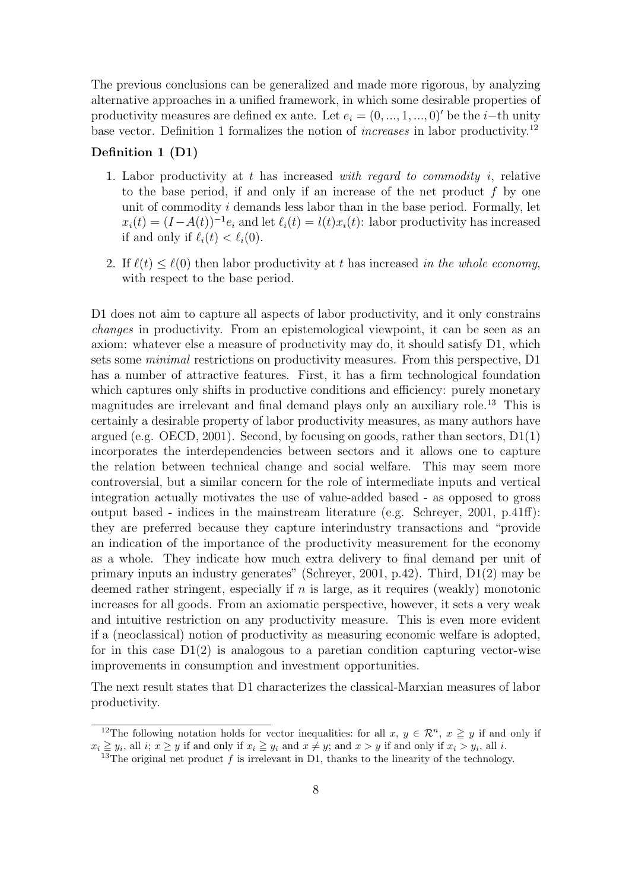The previous conclusions can be generalized and made more rigorous, by analyzing alternative approaches in a unified framework, in which some desirable properties of productivity measures are defined ex ante. Let  $e_i = (0, ..., 1, ..., 0)'$  be the *i*−th unity base vector. Definition 1 formalizes the notion of *increases* in labor productivity.<sup>12</sup>

#### Definition 1 (D1)

- 1. Labor productivity at t has increased with regard to commodity i, relative to the base period, if and only if an increase of the net product  $f$  by one unit of commodity i demands less labor than in the base period. Formally, let  $x_i(t) = (I - A(t))^{-1} e_i$  and let  $\ell_i(t) = l(t)x_i(t)$ : labor productivity has increased if and only if  $\ell_i(t) < \ell_i(0)$ .
- 2. If  $\ell(t) \leq \ell(0)$  then labor productivity at t has increased in the whole economy, with respect to the base period.

D1 does not aim to capture all aspects of labor productivity, and it only constrains changes in productivity. From an epistemological viewpoint, it can be seen as an axiom: whatever else a measure of productivity may do, it should satisfy D1, which sets some minimal restrictions on productivity measures. From this perspective, D1 has a number of attractive features. First, it has a firm technological foundation which captures only shifts in productive conditions and efficiency: purely monetary magnitudes are irrelevant and final demand plays only an auxiliary role.<sup>13</sup> This is certainly a desirable property of labor productivity measures, as many authors have argued (e.g. OECD, 2001). Second, by focusing on goods, rather than sectors,  $D1(1)$ incorporates the interdependencies between sectors and it allows one to capture the relation between technical change and social welfare. This may seem more controversial, but a similar concern for the role of intermediate inputs and vertical integration actually motivates the use of value-added based - as opposed to gross output based - indices in the mainstream literature (e.g. Schreyer, 2001, p.41ff): they are preferred because they capture interindustry transactions and "provide an indication of the importance of the productivity measurement for the economy as a whole. They indicate how much extra delivery to final demand per unit of primary inputs an industry generates" (Schreyer, 2001, p.42). Third, D1(2) may be deemed rather stringent, especially if  $n$  is large, as it requires (weakly) monotonic increases for all goods. From an axiomatic perspective, however, it sets a very weak and intuitive restriction on any productivity measure. This is even more evident if a (neoclassical) notion of productivity as measuring economic welfare is adopted, for in this case  $D_1(2)$  is analogous to a paretian condition capturing vector-wise improvements in consumption and investment opportunities.

The next result states that D1 characterizes the classical-Marxian measures of labor productivity.

<sup>&</sup>lt;sup>12</sup>The following notation holds for vector inequalities: for all  $x, y \in \mathcal{R}^n$ ,  $x \ge y$  if and only if  $x_i \geq y_i$ , all  $i; x \geq y$  if and only if  $x_i \geq y_i$  and  $x \neq y$ ; and  $x > y$  if and only if  $x_i > y_i$ , all i.

<sup>&</sup>lt;sup>13</sup>The original net product  $f$  is irrelevant in D1, thanks to the linearity of the technology.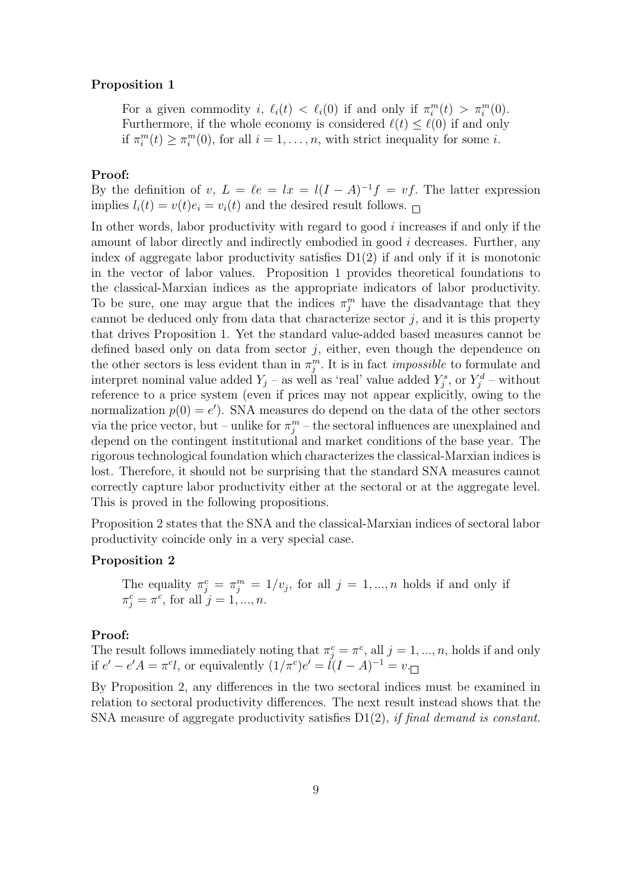#### Proposition 1

For a given commodity i,  $\ell_i(t) < \ell_i(0)$  if and only if  $\pi_i^m(t) > \pi_i^m(0)$ . Furthermore, if the whole economy is considered  $\ell(t) \leq \ell(0)$  if and only if  $\pi_i^m(t) \geq \pi_i^m(0)$ , for all  $i = 1, \ldots, n$ , with strict inequality for some *i*.

#### Proof:

By the definition of v,  $L = \ell e = lx = l(I - A)^{-1}f = vf$ . The latter expression implies  $l_i(t) = v(t)e_i = v_i(t)$  and the desired result follows.

In other words, labor productivity with regard to good  $i$  increases if and only if the amount of labor directly and indirectly embodied in good i decreases. Further, any index of aggregate labor productivity satisfies  $D_1(2)$  if and only if it is monotonic in the vector of labor values. Proposition 1 provides theoretical foundations to the classical-Marxian indices as the appropriate indicators of labor productivity. To be sure, one may argue that the indices  $\pi_j^m$  have the disadvantage that they cannot be deduced only from data that characterize sector  $j$ , and it is this property that drives Proposition 1. Yet the standard value-added based measures cannot be defined based only on data from sector  $j$ , either, even though the dependence on the other sectors is less evident than in  $\pi_j^m$ . It is in fact *impossible* to formulate and interpret nominal value added  $Y_j$  – as well as 'real' value added  $Y_j^s$ , or  $Y_j^d$  – without reference to a price system (even if prices may not appear explicitly, owing to the normalization  $p(0) = e'$ ). SNA measures do depend on the data of the other sectors via the price vector, but – unlike for  $\pi_j^m$  – the sectoral influences are unexplained and depend on the contingent institutional and market conditions of the base year. The rigorous technological foundation which characterizes the classical-Marxian indices is lost. Therefore, it should not be surprising that the standard SNA measures cannot correctly capture labor productivity either at the sectoral or at the aggregate level. This is proved in the following propositions.

Proposition 2 states that the SNA and the classical-Marxian indices of sectoral labor productivity coincide only in a very special case.

#### Proposition 2

The equality  $\pi_j^c = \pi_j^m = 1/v_j$ , for all  $j = 1, ..., n$  holds if and only if  $\pi_j^c = \pi^c$ , for all  $j = 1, ..., n$ .

#### Proof:

The result follows immediately noting that  $\pi_j^c = \pi^c$ , all  $j = 1, ..., n$ , holds if and only if  $e' - e'A = \pi^c l$ , or equivalently  $(1/\pi^c)e' = l(I - A)^{-1} = v$ .

By Proposition 2, any differences in the two sectoral indices must be examined in relation to sectoral productivity differences. The next result instead shows that the SNA measure of aggregate productivity satisfies  $D_1(2)$ , if final demand is constant.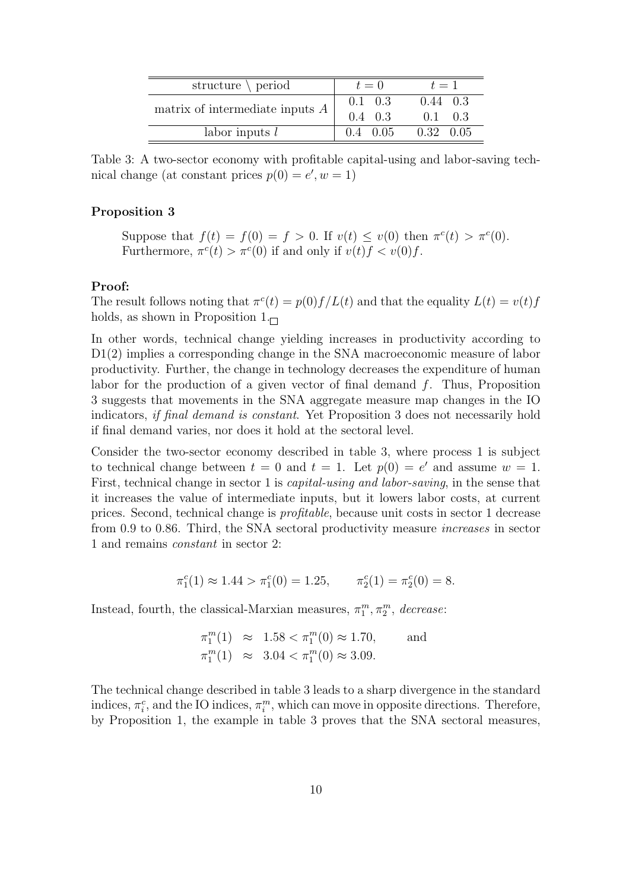| structure $\setminus$ period           | $t=0$                              | $t=1$                               |  |
|----------------------------------------|------------------------------------|-------------------------------------|--|
| matrix of intermediate inputs $A \mid$ | $0.1 \quad 0.3$<br>$0.4 \quad 0.3$ | $0.44 \quad 0.3$<br>$0.1 \quad 0.3$ |  |
| labor inputs $l$                       | $0.4 \quad 0.05$                   | $0.32 \quad 0.05$                   |  |

Table 3: A two-sector economy with profitable capital-using and labor-saving technical change (at constant prices  $p(0) = e', w = 1$ )

#### Proposition 3

Suppose that  $f(t) = f(0) = f > 0$ . If  $v(t) \le v(0)$  then  $\pi^c(t) > \pi^c(0)$ . Furthermore,  $\pi^c(t) > \pi^c(0)$  if and only if  $v(t) f < v(0) f$ .

#### Proof:

The result follows noting that  $\pi^c(t) = p(0) f/L(t)$  and that the equality  $L(t) = v(t) f$ holds, as shown in Proposition  $1_{\square}$ 

In other words, technical change yielding increases in productivity according to D1(2) implies a corresponding change in the SNA macroeconomic measure of labor productivity. Further, the change in technology decreases the expenditure of human labor for the production of a given vector of final demand  $f$ . Thus, Proposition 3 suggests that movements in the SNA aggregate measure map changes in the IO indicators, if final demand is constant. Yet Proposition 3 does not necessarily hold if final demand varies, nor does it hold at the sectoral level.

Consider the two-sector economy described in table 3, where process 1 is subject to technical change between  $t = 0$  and  $t = 1$ . Let  $p(0) = e'$  and assume  $w = 1$ . First, technical change in sector 1 is capital-using and labor-saving, in the sense that it increases the value of intermediate inputs, but it lowers labor costs, at current prices. Second, technical change is profitable, because unit costs in sector 1 decrease from 0.9 to 0.86. Third, the SNA sectoral productivity measure increases in sector 1 and remains constant in sector 2:

$$
\pi_1^c(1) \approx 1.44 > \pi_1^c(0) = 1.25, \qquad \pi_2^c(1) = \pi_2^c(0) = 8.
$$

Instead, fourth, the classical-Marxian measures,  $\pi_1^m, \pi_2^m$ , decrease:

$$
\begin{aligned}\n\pi_1^m(1) &\approx 1.58 < \pi_1^m(0) \approx 1.70, \\
\pi_1^m(1) &\approx 3.04 < \pi_1^m(0) \approx 3.09.\n\end{aligned}
$$

The technical change described in table 3 leads to a sharp divergence in the standard indices,  $\pi_i^c$ , and the IO indices,  $\pi_i^m$ , which can move in opposite directions. Therefore, by Proposition 1, the example in table 3 proves that the SNA sectoral measures,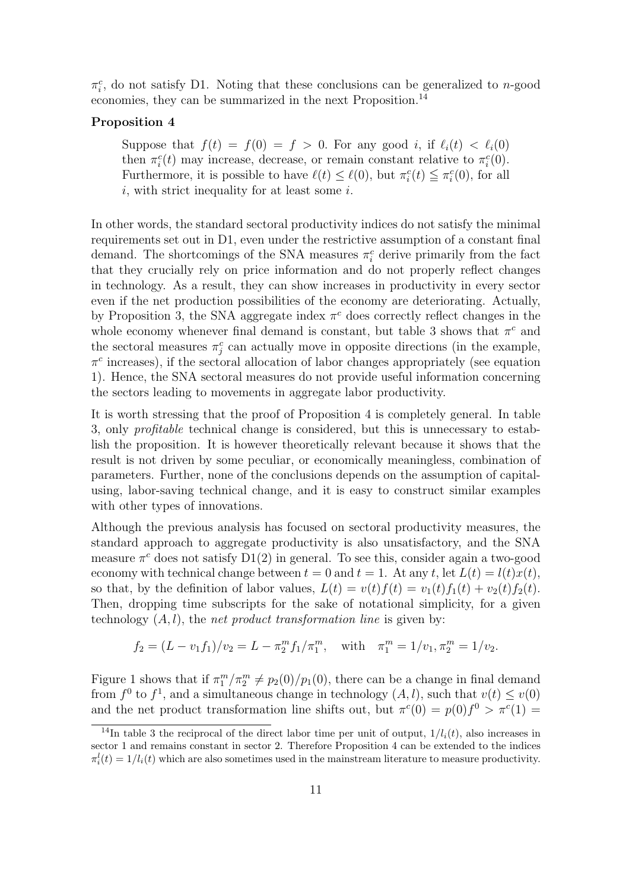$\pi_i^c$ , do not satisfy D1. Noting that these conclusions can be generalized to n-good economies, they can be summarized in the next Proposition.<sup>14</sup>

#### Proposition 4

Suppose that  $f(t) = f(0) = f > 0$ . For any good i, if  $\ell_i(t) < \ell_i(0)$ then  $\pi_i^c(t)$  may increase, decrease, or remain constant relative to  $\pi_i^c(0)$ . Furthermore, it is possible to have  $\ell(t) \leq \ell(0)$ , but  $\pi_i^c(t) \leq \pi_i^c(0)$ , for all  $i$ , with strict inequality for at least some  $i$ .

In other words, the standard sectoral productivity indices do not satisfy the minimal requirements set out in D1, even under the restrictive assumption of a constant final demand. The shortcomings of the SNA measures  $\pi_i^c$  derive primarily from the fact that they crucially rely on price information and do not properly reflect changes in technology. As a result, they can show increases in productivity in every sector even if the net production possibilities of the economy are deteriorating. Actually, by Proposition 3, the SNA aggregate index  $\pi^c$  does correctly reflect changes in the whole economy whenever final demand is constant, but table 3 shows that  $\pi^c$  and the sectoral measures  $\pi_j^c$  can actually move in opposite directions (in the example,  $\pi^c$  increases), if the sectoral allocation of labor changes appropriately (see equation 1). Hence, the SNA sectoral measures do not provide useful information concerning the sectors leading to movements in aggregate labor productivity.

It is worth stressing that the proof of Proposition 4 is completely general. In table 3, only profitable technical change is considered, but this is unnecessary to establish the proposition. It is however theoretically relevant because it shows that the result is not driven by some peculiar, or economically meaningless, combination of parameters. Further, none of the conclusions depends on the assumption of capitalusing, labor-saving technical change, and it is easy to construct similar examples with other types of innovations.

Although the previous analysis has focused on sectoral productivity measures, the standard approach to aggregate productivity is also unsatisfactory, and the SNA measure  $\pi^c$  does not satisfy  $D(12)$  in general. To see this, consider again a two-good economy with technical change between  $t = 0$  and  $t = 1$ . At any t, let  $L(t) = l(t)x(t)$ , so that, by the definition of labor values,  $L(t) = v(t) f(t) = v_1(t) f_1(t) + v_2(t) f_2(t)$ . Then, dropping time subscripts for the sake of notational simplicity, for a given technology  $(A, l)$ , the *net product transformation line* is given by:

$$
f_2 = (L - v_1 f_1)/v_2 = L - \pi_2^m f_1/\pi_1^m
$$
, with  $\pi_1^m = 1/v_1, \pi_2^m = 1/v_2$ .

Figure 1 shows that if  $\pi_1^m/\pi_2^m \neq p_2(0)/p_1(0)$ , there can be a change in final demand from  $f^0$  to  $f^1$ , and a simultaneous change in technology  $(A, l)$ , such that  $v(t) \leq v(0)$ and the net product transformation line shifts out, but  $\pi^c(0) = p(0)f^0 > \pi^c(1)$ 

<sup>&</sup>lt;sup>14</sup>In table 3 the reciprocal of the direct labor time per unit of output,  $1/l_i(t)$ , also increases in sector 1 and remains constant in sector 2. Therefore Proposition 4 can be extended to the indices  $\pi_i^l(t) = 1/l_i(t)$  which are also sometimes used in the mainstream literature to measure productivity.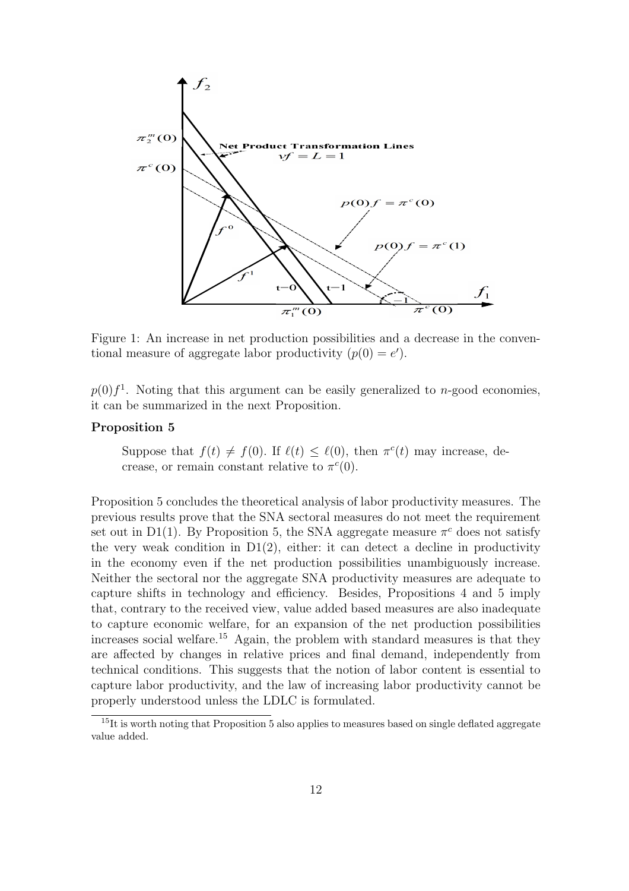

Figure 1: An increase in net production possibilities and a decrease in the conventional measure of aggregate labor productivity  $(p(0) = e')$ .

 $p(0) f<sup>1</sup>$ . Noting that this argument can be easily generalized to *n*-good economies, it can be summarized in the next Proposition.

#### Proposition 5

Suppose that  $f(t) \neq f(0)$ . If  $\ell(t) \leq \ell(0)$ , then  $\pi^c(t)$  may increase, decrease, or remain constant relative to  $\pi^c(0)$ .

Proposition 5 concludes the theoretical analysis of labor productivity measures. The previous results prove that the SNA sectoral measures do not meet the requirement set out in D1(1). By Proposition 5, the SNA aggregate measure  $\pi^c$  does not satisfy the very weak condition in  $D1(2)$ , either: it can detect a decline in productivity in the economy even if the net production possibilities unambiguously increase. Neither the sectoral nor the aggregate SNA productivity measures are adequate to capture shifts in technology and efficiency. Besides, Propositions 4 and 5 imply that, contrary to the received view, value added based measures are also inadequate to capture economic welfare, for an expansion of the net production possibilities increases social welfare.<sup>15</sup> Again, the problem with standard measures is that they are affected by changes in relative prices and final demand, independently from technical conditions. This suggests that the notion of labor content is essential to capture labor productivity, and the law of increasing labor productivity cannot be properly understood unless the LDLC is formulated.

<sup>&</sup>lt;sup>15</sup>It is worth noting that Proposition 5 also applies to measures based on single deflated aggregate value added.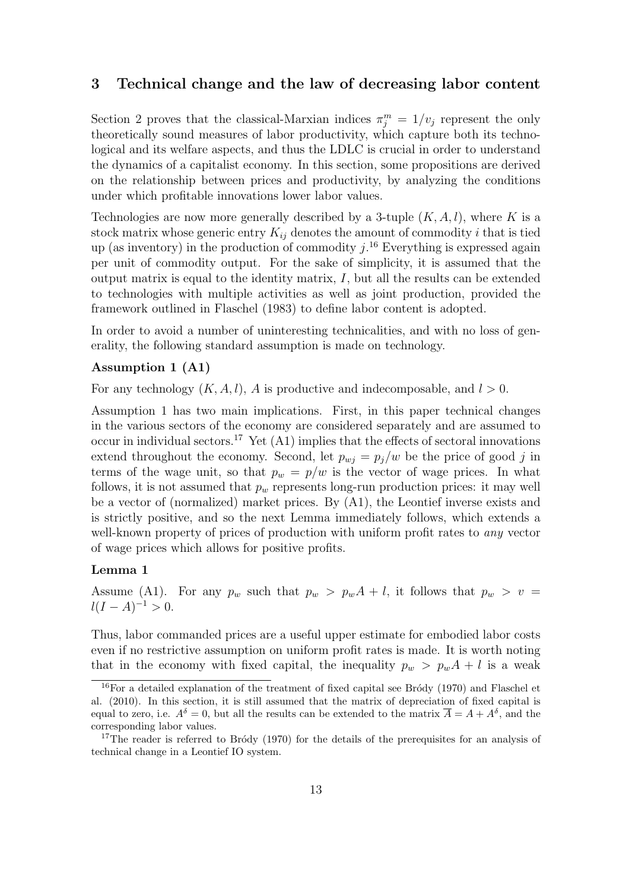#### 3 Technical change and the law of decreasing labor content

Section 2 proves that the classical-Marxian indices  $\pi_j^m = 1/v_j$  represent the only theoretically sound measures of labor productivity, which capture both its technological and its welfare aspects, and thus the LDLC is crucial in order to understand the dynamics of a capitalist economy. In this section, some propositions are derived on the relationship between prices and productivity, by analyzing the conditions under which profitable innovations lower labor values.

Technologies are now more generally described by a 3-tuple  $(K, A, l)$ , where K is a stock matrix whose generic entry  $K_{ij}$  denotes the amount of commodity i that is tied up (as inventory) in the production of commodity  $j$ .<sup>16</sup> Everything is expressed again per unit of commodity output. For the sake of simplicity, it is assumed that the output matrix is equal to the identity matrix, I, but all the results can be extended to technologies with multiple activities as well as joint production, provided the framework outlined in Flaschel (1983) to define labor content is adopted.

In order to avoid a number of uninteresting technicalities, and with no loss of generality, the following standard assumption is made on technology.

#### Assumption 1 (A1)

For any technology  $(K, A, l)$ , A is productive and indecomposable, and  $l > 0$ .

Assumption 1 has two main implications. First, in this paper technical changes in the various sectors of the economy are considered separately and are assumed to occur in individual sectors.<sup>17</sup> Yet  $(A1)$  implies that the effects of sectoral innovations extend throughout the economy. Second, let  $p_{wi} = p_i/w$  be the price of good j in terms of the wage unit, so that  $p_w = p/w$  is the vector of wage prices. In what follows, it is not assumed that  $p_w$  represents long-run production prices: it may well be a vector of (normalized) market prices. By (A1), the Leontief inverse exists and is strictly positive, and so the next Lemma immediately follows, which extends a well-known property of prices of production with uniform profit rates to *any* vector of wage prices which allows for positive profits.

#### Lemma 1

Assume (A1). For any  $p_w$  such that  $p_w > p_w A + l$ , it follows that  $p_w > v$  $l(I - A)^{-1} > 0.$ 

Thus, labor commanded prices are a useful upper estimate for embodied labor costs even if no restrictive assumption on uniform profit rates is made. It is worth noting that in the economy with fixed capital, the inequality  $p_w > p_w A + l$  is a weak

 $16$ For a detailed explanation of the treatment of fixed capital see Bródy (1970) and Flaschel et al. (2010). In this section, it is still assumed that the matrix of depreciation of fixed capital is equal to zero, i.e.  $A^{\delta} = 0$ , but all the results can be extended to the matrix  $\overline{A} = A + A^{\delta}$ , and the corresponding labor values.

<sup>&</sup>lt;sup>17</sup>The reader is referred to Bródy (1970) for the details of the prerequisites for an analysis of technical change in a Leontief IO system.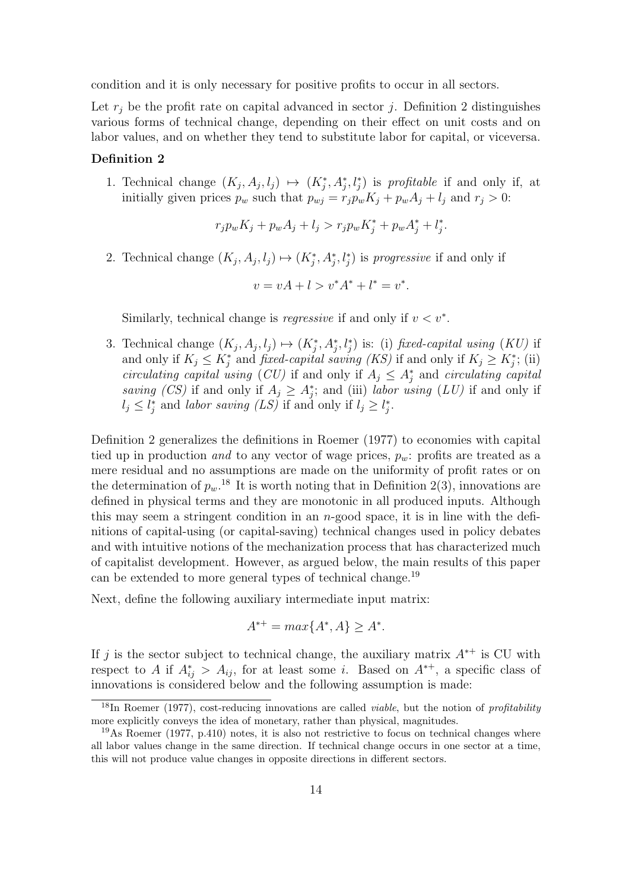condition and it is only necessary for positive profits to occur in all sectors.

Let  $r_j$  be the profit rate on capital advanced in sector j. Definition 2 distinguishes various forms of technical change, depending on their effect on unit costs and on labor values, and on whether they tend to substitute labor for capital, or viceversa.

#### Definition 2

1. Technical change  $(K_j, A_j, l_j) \mapsto (K_j^*, A_j^*, l_j^*)$  is profitable if and only if, at initially given prices  $p_w$  such that  $p_{wj} = r_j p_w K_j + p_w A_j + l_j$  and  $r_j > 0$ :

$$
r_j p_w K_j + p_w A_j + l_j > r_j p_w K_j^* + p_w A_j^* + l_j^*.
$$

2. Technical change  $(K_j, A_j, l_j) \mapsto (K_j^*, A_j^*, l_j^*)$  is *progressive* if and only if

$$
v = vA + l > v^*A^* + l^* = v^*.
$$

Similarly, technical change is *regressive* if and only if  $v < v^*$ .

3. Technical change  $(K_j, A_j, l_j) \mapsto (K_j^*, A_j^*, l_j^*)$  is: (i) fixed-capital using  $(KU)$  if and only if  $K_j \leq K_j^*$  and *fixed-capital saving (KS)* if and only if  $K_j \geq K_j^*$ ; (ii) circulating capital using (CU) if and only if  $A_j \n\t\leq A_j^*$  and circulating capital saving (CS) if and only if  $A_j \geq A_j^*$ ; and (iii) labor using (LU) if and only if  $l_j \leq l_j^*$  and labor saving  $(LS)$  if and only if  $l_j \geq l_j^*$ .

Definition 2 generalizes the definitions in Roemer (1977) to economies with capital tied up in production and to any vector of wage prices,  $p_w$ : profits are treated as a mere residual and no assumptions are made on the uniformity of profit rates or on the determination of  $p_w$ .<sup>18</sup> It is worth noting that in Definition 2(3), innovations are defined in physical terms and they are monotonic in all produced inputs. Although this may seem a stringent condition in an  $n$ -good space, it is in line with the definitions of capital-using (or capital-saving) technical changes used in policy debates and with intuitive notions of the mechanization process that has characterized much of capitalist development. However, as argued below, the main results of this paper can be extended to more general types of technical change.<sup>19</sup>

Next, define the following auxiliary intermediate input matrix:

$$
A^{*+} = \max\{A^*, A\} \ge A^*.
$$

If j is the sector subject to technical change, the auxiliary matrix  $A^{*+}$  is CU with respect to A if  $A_{ij}^* > A_{ij}$ , for at least some i. Based on  $A^{*+}$ , a specific class of innovations is considered below and the following assumption is made:

<sup>&</sup>lt;sup>18</sup>In Roemer (1977), cost-reducing innovations are called *viable*, but the notion of *profitability* more explicitly conveys the idea of monetary, rather than physical, magnitudes.

<sup>19</sup>As Roemer (1977, p.410) notes, it is also not restrictive to focus on technical changes where all labor values change in the same direction. If technical change occurs in one sector at a time, this will not produce value changes in opposite directions in different sectors.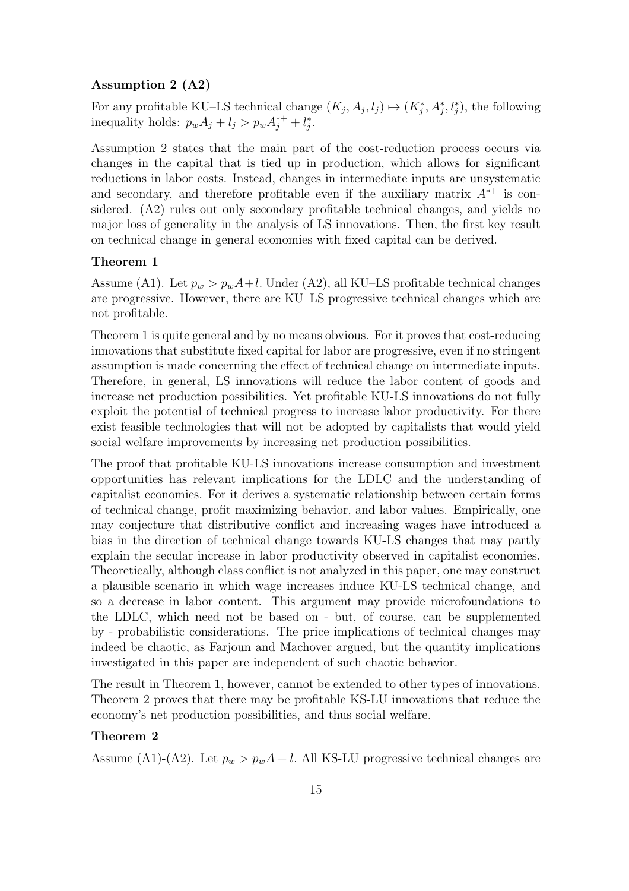#### Assumption 2 (A2)

For any profitable KU–LS technical change  $(K_j, A_j, l_j) \mapsto (K_j^*, A_j^*, l_j^*)$ , the following inequality holds:  $p_w A_j + l_j > p_w A_j^{*+} + l_j^*$ .

Assumption 2 states that the main part of the cost-reduction process occurs via changes in the capital that is tied up in production, which allows for significant reductions in labor costs. Instead, changes in intermediate inputs are unsystematic and secondary, and therefore profitable even if the auxiliary matrix  $A^{*+}$  is considered. (A2) rules out only secondary profitable technical changes, and yields no major loss of generality in the analysis of LS innovations. Then, the first key result on technical change in general economies with fixed capital can be derived.

#### Theorem 1

Assume (A1). Let  $p_w > p_wA + l$ . Under (A2), all KU–LS profitable technical changes are progressive. However, there are KU–LS progressive technical changes which are not profitable.

Theorem 1 is quite general and by no means obvious. For it proves that cost-reducing innovations that substitute fixed capital for labor are progressive, even if no stringent assumption is made concerning the effect of technical change on intermediate inputs. Therefore, in general, LS innovations will reduce the labor content of goods and increase net production possibilities. Yet profitable KU-LS innovations do not fully exploit the potential of technical progress to increase labor productivity. For there exist feasible technologies that will not be adopted by capitalists that would yield social welfare improvements by increasing net production possibilities.

The proof that profitable KU-LS innovations increase consumption and investment opportunities has relevant implications for the LDLC and the understanding of capitalist economies. For it derives a systematic relationship between certain forms of technical change, profit maximizing behavior, and labor values. Empirically, one may conjecture that distributive conflict and increasing wages have introduced a bias in the direction of technical change towards KU-LS changes that may partly explain the secular increase in labor productivity observed in capitalist economies. Theoretically, although class conflict is not analyzed in this paper, one may construct a plausible scenario in which wage increases induce KU-LS technical change, and so a decrease in labor content. This argument may provide microfoundations to the LDLC, which need not be based on - but, of course, can be supplemented by - probabilistic considerations. The price implications of technical changes may indeed be chaotic, as Farjoun and Machover argued, but the quantity implications investigated in this paper are independent of such chaotic behavior.

The result in Theorem 1, however, cannot be extended to other types of innovations. Theorem 2 proves that there may be profitable KS-LU innovations that reduce the economy's net production possibilities, and thus social welfare.

#### Theorem 2

Assume (A1)-(A2). Let  $p_w > p_w A + l$ . All KS-LU progressive technical changes are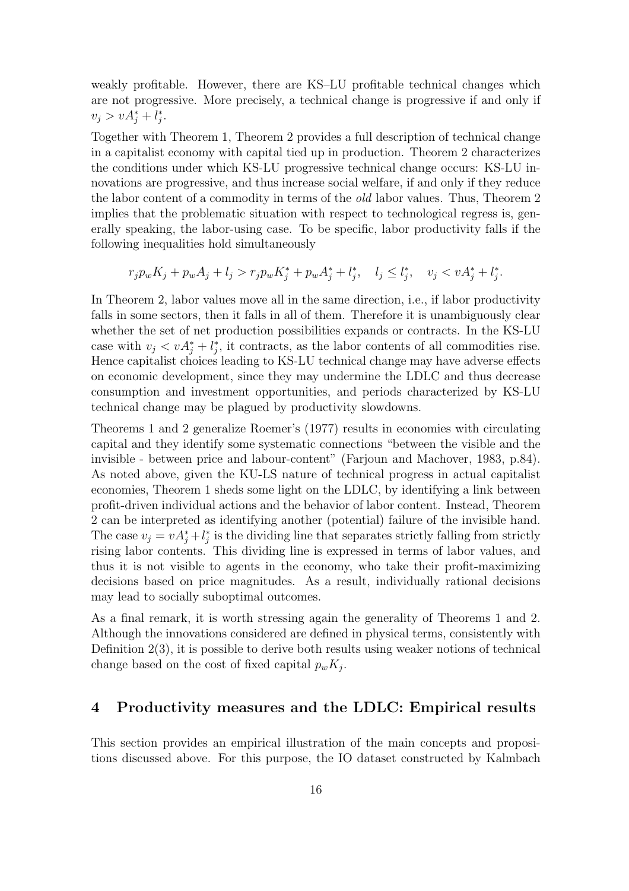weakly profitable. However, there are KS–LU profitable technical changes which are not progressive. More precisely, a technical change is progressive if and only if  $v_j > v A_j^* + l_j^*.$ 

Together with Theorem 1, Theorem 2 provides a full description of technical change in a capitalist economy with capital tied up in production. Theorem 2 characterizes the conditions under which KS-LU progressive technical change occurs: KS-LU innovations are progressive, and thus increase social welfare, if and only if they reduce the labor content of a commodity in terms of the old labor values. Thus, Theorem 2 implies that the problematic situation with respect to technological regress is, generally speaking, the labor-using case. To be specific, labor productivity falls if the following inequalities hold simultaneously

$$
r_j p_w K_j + p_w A_j + l_j > r_j p_w K_j^* + p_w A_j^* + l_j^*, \quad l_j \le l_j^*, \quad v_j < v A_j^* + l_j^*.
$$

In Theorem 2, labor values move all in the same direction, i.e., if labor productivity falls in some sectors, then it falls in all of them. Therefore it is unambiguously clear whether the set of net production possibilities expands or contracts. In the KS-LU case with  $v_j < v A_j^* + l_j^*$ , it contracts, as the labor contents of all commodities rise. Hence capitalist choices leading to KS-LU technical change may have adverse effects on economic development, since they may undermine the LDLC and thus decrease consumption and investment opportunities, and periods characterized by KS-LU technical change may be plagued by productivity slowdowns.

Theorems 1 and 2 generalize Roemer's (1977) results in economies with circulating capital and they identify some systematic connections "between the visible and the invisible - between price and labour-content" (Farjoun and Machover, 1983, p.84). As noted above, given the KU-LS nature of technical progress in actual capitalist economies, Theorem 1 sheds some light on the LDLC, by identifying a link between profit-driven individual actions and the behavior of labor content. Instead, Theorem 2 can be interpreted as identifying another (potential) failure of the invisible hand. The case  $v_j = v A_j^* + l_j^*$  is the dividing line that separates strictly falling from strictly rising labor contents. This dividing line is expressed in terms of labor values, and thus it is not visible to agents in the economy, who take their profit-maximizing decisions based on price magnitudes. As a result, individually rational decisions may lead to socially suboptimal outcomes.

As a final remark, it is worth stressing again the generality of Theorems 1 and 2. Although the innovations considered are defined in physical terms, consistently with Definition 2(3), it is possible to derive both results using weaker notions of technical change based on the cost of fixed capital  $p_w K_j$ .

#### 4 Productivity measures and the LDLC: Empirical results

This section provides an empirical illustration of the main concepts and propositions discussed above. For this purpose, the IO dataset constructed by Kalmbach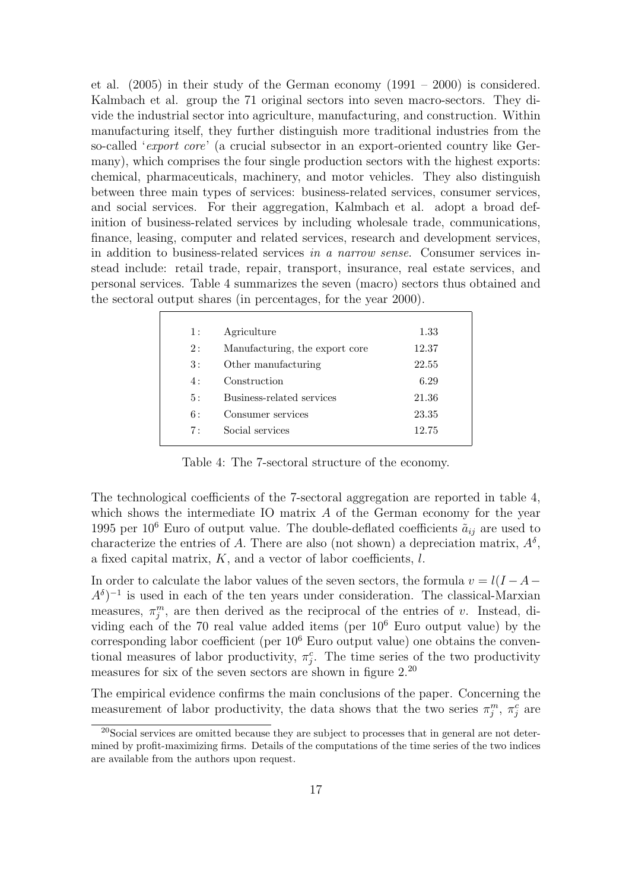et al. (2005) in their study of the German economy (1991 – 2000) is considered. Kalmbach et al. group the 71 original sectors into seven macro-sectors. They divide the industrial sector into agriculture, manufacturing, and construction. Within manufacturing itself, they further distinguish more traditional industries from the so-called 'export core' (a crucial subsector in an export-oriented country like Germany), which comprises the four single production sectors with the highest exports: chemical, pharmaceuticals, machinery, and motor vehicles. They also distinguish between three main types of services: business-related services, consumer services, and social services. For their aggregation, Kalmbach et al. adopt a broad definition of business-related services by including wholesale trade, communications, finance, leasing, computer and related services, research and development services, in addition to business-related services in a narrow sense. Consumer services instead include: retail trade, repair, transport, insurance, real estate services, and personal services. Table 4 summarizes the seven (macro) sectors thus obtained and the sectoral output shares (in percentages, for the year 2000).

| 1: | Agriculture                    | 1.33  |
|----|--------------------------------|-------|
| 2: | Manufacturing, the export core | 12.37 |
| 3: | Other manufacturing            | 22.55 |
| 4: | Construction                   | 6.29  |
| 5: | Business-related services      | 21.36 |
| 6: | Consumer services              | 23.35 |
| 7: | Social services                | 12.75 |
|    |                                |       |

Table 4: The 7-sectoral structure of the economy.

The technological coefficients of the 7-sectoral aggregation are reported in table 4, which shows the intermediate IO matrix  $A$  of the German economy for the year 1995 per 10<sup>6</sup> Euro of output value. The double-deflated coefficients  $\tilde{a}_{ij}$  are used to characterize the entries of A. There are also (not shown) a depreciation matrix,  $A^{\delta}$ , a fixed capital matrix, K, and a vector of labor coefficients, l.

In order to calculate the labor values of the seven sectors, the formula  $v = l(I - A - I)$  $A^{\delta}$ <sup>-1</sup> is used in each of the ten years under consideration. The classical-Marxian measures,  $\pi_j^m$ , are then derived as the reciprocal of the entries of v. Instead, dividing each of the 70 real value added items (per  $10^6$  Euro output value) by the corresponding labor coefficient (per  $10<sup>6</sup>$  Euro output value) one obtains the conventional measures of labor productivity,  $\pi_i^c$ . The time series of the two productivity measures for six of the seven sectors are shown in figure 2.<sup>20</sup>

The empirical evidence confirms the main conclusions of the paper. Concerning the measurement of labor productivity, the data shows that the two series  $\pi_j^m$ ,  $\pi_j^c$  are

<sup>20</sup>Social services are omitted because they are subject to processes that in general are not determined by profit-maximizing firms. Details of the computations of the time series of the two indices are available from the authors upon request.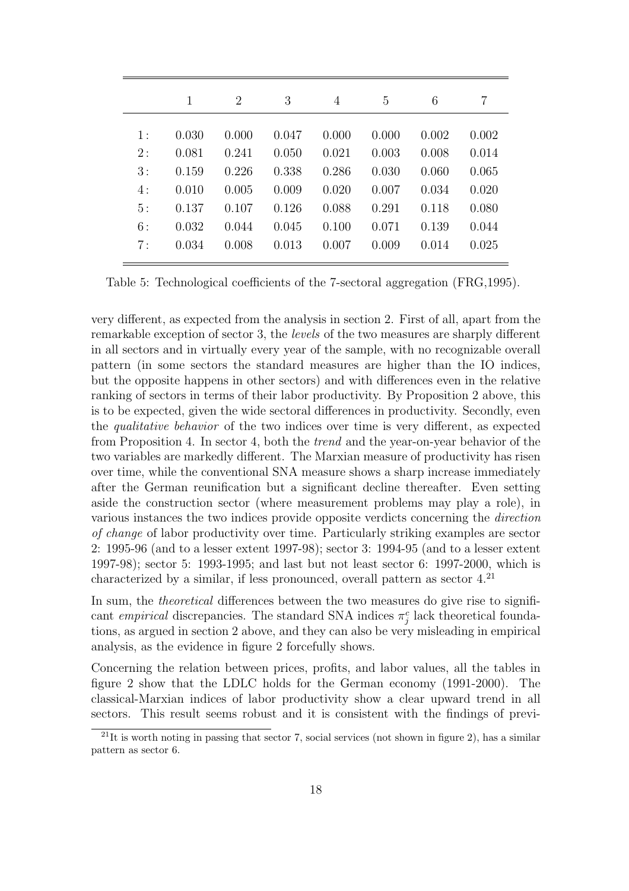|       |       | $\overline{2}$ | 3     | 4     | 5     | 6     | 7     |
|-------|-------|----------------|-------|-------|-------|-------|-------|
| $1$ : | 0.030 | 0.000          | 0.047 | 0.000 | 0.000 | 0.002 | 0.002 |
| 2:    | 0.081 | 0.241          | 0.050 | 0.021 | 0.003 | 0.008 | 0.014 |
| 3:    | 0.159 | 0.226          | 0.338 | 0.286 | 0.030 | 0.060 | 0.065 |
| 4:    | 0.010 | 0.005          | 0.009 | 0.020 | 0.007 | 0.034 | 0.020 |
| 5:    | 0.137 | 0.107          | 0.126 | 0.088 | 0.291 | 0.118 | 0.080 |
| 6:    | 0.032 | 0.044          | 0.045 | 0.100 | 0.071 | 0.139 | 0.044 |
| 7:    | 0.034 | 0.008          | 0.013 | 0.007 | 0.009 | 0.014 | 0.025 |

Table 5: Technological coefficients of the 7-sectoral aggregation (FRG,1995).

very different, as expected from the analysis in section 2. First of all, apart from the remarkable exception of sector 3, the levels of the two measures are sharply different in all sectors and in virtually every year of the sample, with no recognizable overall pattern (in some sectors the standard measures are higher than the IO indices, but the opposite happens in other sectors) and with differences even in the relative ranking of sectors in terms of their labor productivity. By Proposition 2 above, this is to be expected, given the wide sectoral differences in productivity. Secondly, even the qualitative behavior of the two indices over time is very different, as expected from Proposition 4. In sector 4, both the trend and the year-on-year behavior of the two variables are markedly different. The Marxian measure of productivity has risen over time, while the conventional SNA measure shows a sharp increase immediately after the German reunification but a significant decline thereafter. Even setting aside the construction sector (where measurement problems may play a role), in various instances the two indices provide opposite verdicts concerning the direction of change of labor productivity over time. Particularly striking examples are sector 2: 1995-96 (and to a lesser extent 1997-98); sector 3: 1994-95 (and to a lesser extent 1997-98); sector 5: 1993-1995; and last but not least sector 6: 1997-2000, which is characterized by a similar, if less pronounced, overall pattern as sector  $4.\overline{21}$ 

In sum, the *theoretical* differences between the two measures do give rise to significant *empirical* discrepancies. The standard SNA indices  $\pi_j^c$  lack theoretical foundations, as argued in section 2 above, and they can also be very misleading in empirical analysis, as the evidence in figure 2 forcefully shows.

Concerning the relation between prices, profits, and labor values, all the tables in figure 2 show that the LDLC holds for the German economy (1991-2000). The classical-Marxian indices of labor productivity show a clear upward trend in all sectors. This result seems robust and it is consistent with the findings of previ-

 $21$ It is worth noting in passing that sector 7, social services (not shown in figure 2), has a similar pattern as sector 6.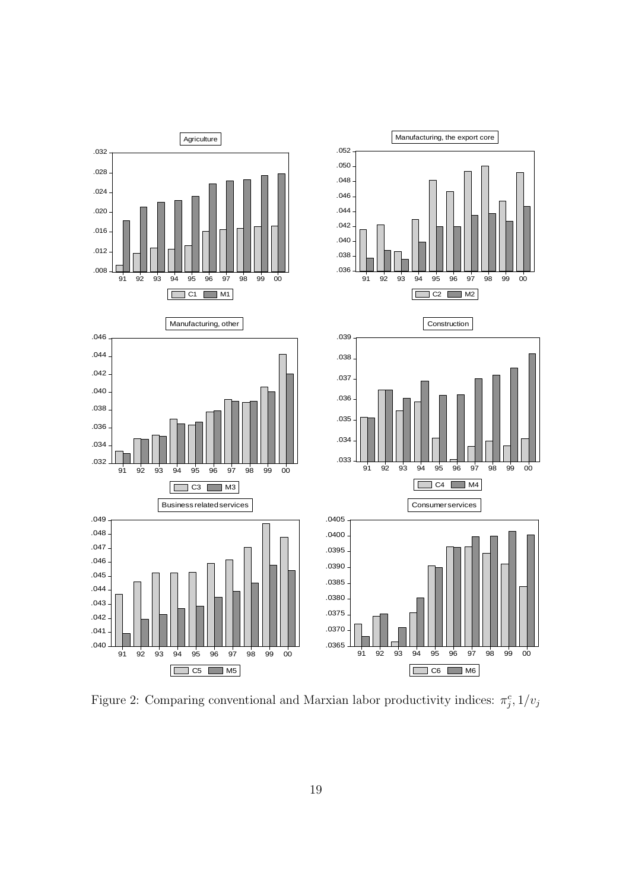

Figure 2: Comparing conventional and Marxian labor productivity indices:  $\pi_j^c$ ,  $1/v_j$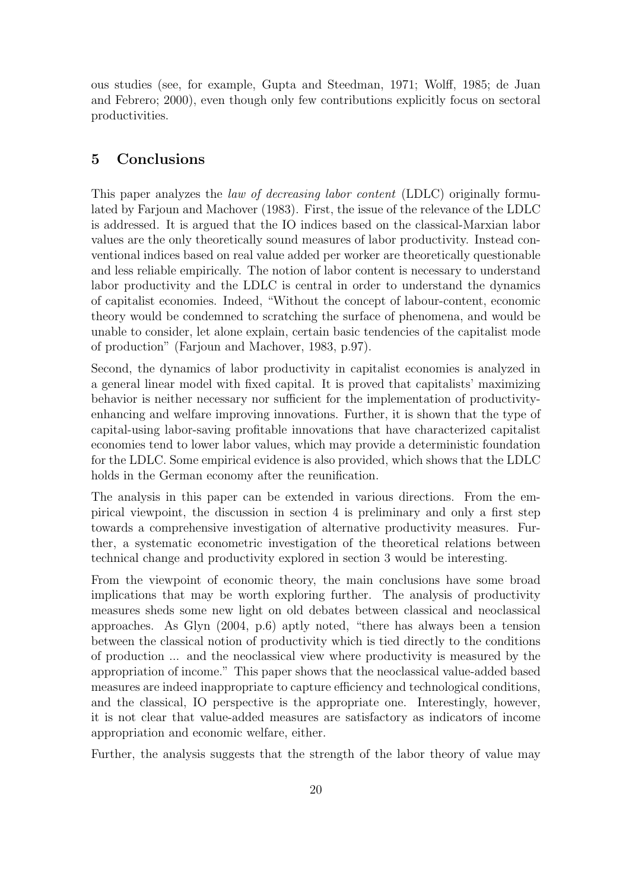ous studies (see, for example, Gupta and Steedman, 1971; Wolff, 1985; de Juan and Febrero; 2000), even though only few contributions explicitly focus on sectoral productivities.

#### 5 Conclusions

This paper analyzes the *law of decreasing labor content* (LDLC) originally formulated by Farjoun and Machover (1983). First, the issue of the relevance of the LDLC is addressed. It is argued that the IO indices based on the classical-Marxian labor values are the only theoretically sound measures of labor productivity. Instead conventional indices based on real value added per worker are theoretically questionable and less reliable empirically. The notion of labor content is necessary to understand labor productivity and the LDLC is central in order to understand the dynamics of capitalist economies. Indeed, "Without the concept of labour-content, economic theory would be condemned to scratching the surface of phenomena, and would be unable to consider, let alone explain, certain basic tendencies of the capitalist mode of production" (Farjoun and Machover, 1983, p.97).

Second, the dynamics of labor productivity in capitalist economies is analyzed in a general linear model with fixed capital. It is proved that capitalists' maximizing behavior is neither necessary nor sufficient for the implementation of productivityenhancing and welfare improving innovations. Further, it is shown that the type of capital-using labor-saving profitable innovations that have characterized capitalist economies tend to lower labor values, which may provide a deterministic foundation for the LDLC. Some empirical evidence is also provided, which shows that the LDLC holds in the German economy after the reunification.

The analysis in this paper can be extended in various directions. From the empirical viewpoint, the discussion in section 4 is preliminary and only a first step towards a comprehensive investigation of alternative productivity measures. Further, a systematic econometric investigation of the theoretical relations between technical change and productivity explored in section 3 would be interesting.

From the viewpoint of economic theory, the main conclusions have some broad implications that may be worth exploring further. The analysis of productivity measures sheds some new light on old debates between classical and neoclassical approaches. As Glyn (2004, p.6) aptly noted, "there has always been a tension between the classical notion of productivity which is tied directly to the conditions of production ... and the neoclassical view where productivity is measured by the appropriation of income." This paper shows that the neoclassical value-added based measures are indeed inappropriate to capture efficiency and technological conditions, and the classical, IO perspective is the appropriate one. Interestingly, however, it is not clear that value-added measures are satisfactory as indicators of income appropriation and economic welfare, either.

Further, the analysis suggests that the strength of the labor theory of value may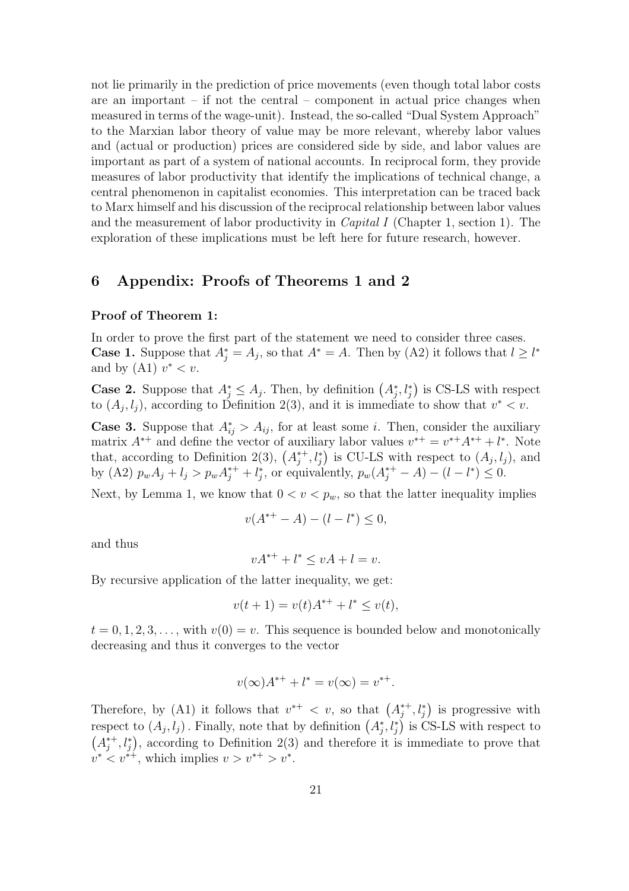not lie primarily in the prediction of price movements (even though total labor costs are an important  $-$  if not the central  $-$  component in actual price changes when measured in terms of the wage-unit). Instead, the so-called "Dual System Approach" to the Marxian labor theory of value may be more relevant, whereby labor values and (actual or production) prices are considered side by side, and labor values are important as part of a system of national accounts. In reciprocal form, they provide measures of labor productivity that identify the implications of technical change, a central phenomenon in capitalist economies. This interpretation can be traced back to Marx himself and his discussion of the reciprocal relationship between labor values and the measurement of labor productivity in Capital I (Chapter 1, section 1). The exploration of these implications must be left here for future research, however.

#### 6 Appendix: Proofs of Theorems 1 and 2

#### Proof of Theorem 1:

In order to prove the first part of the statement we need to consider three cases. **Case 1.** Suppose that  $A_j^* = A_j$ , so that  $A^* = A$ . Then by (A2) it follows that  $l \geq l^*$ and by  $(A1)$   $v^* < v$ . ¢

**Case 2.** Suppose that  $A_j^* \leq A_j$ . Then, by definition  $(A_j^*, l_j^*)$ is CS-LS with respect to  $(A_j, l_j)$ , according to Definition 2(3), and it is immediate to show that  $v^* < v$ .

**Case 3.** Suppose that  $A_{ij}^* > A_{ij}$ , for at least some *i*. Then, consider the auxiliary matrix  $A^{*+}$  and define the vector of auxiliary labor values  $v^{*+} = v^{*+}A^{*+} + l^*$ . Note matrix  $A^+$  and define the vector of aux that, according to Definition 2(3),  $(A_i^*$  $j^*, l_j^*$  is CU-LS with respect to  $(A_j, l_j)$ , and by (A2)  $p_w A_j + l_j > p_w A_j^{*+} + l_j^{*}$ , or equivalently,  $p_w (A_j^{*+} - A) - (l - l^{*}) \leq 0$ .

Next, by Lemma 1, we know that  $0 < v < p_w$ , so that the latter inequality implies

$$
v(A^{*+} - A) - (l - l^*) \le 0,
$$

and thus

$$
vA^{*+} + l^* \le vA + l = v.
$$

By recursive application of the latter inequality, we get:

$$
v(t+1) = v(t)A^{*+} + l^* \le v(t),
$$

 $t = 0, 1, 2, 3, \ldots$ , with  $v(0) = v$ . This sequence is bounded below and monotonically decreasing and thus it converges to the vector

$$
v(\infty)A^{*+} + l^* = v(\infty) = v^{*+}.
$$

Therefore, by (A1) it follows that  $v^{*+} < v$ , so that  $(A_i^*)$  $j^{*+}, l_j^*$ ¢  $\binom{a}{j}$ ,  $\binom{s}{j}$  is progressive with respect to  $(A_j, l_j)$ . Finally, note that by definition  $(A_j^*, l_j^*)$  is CS-LS with respect to  $A_i^{*+}$ <sup>\*+</sup>,  $l_j^*$ ), according to Definition 2(3) and therefore it is immediate to prove that  $v^*$  <  $v^{*+}$ , which implies  $v > v^{*+} > v^*$ .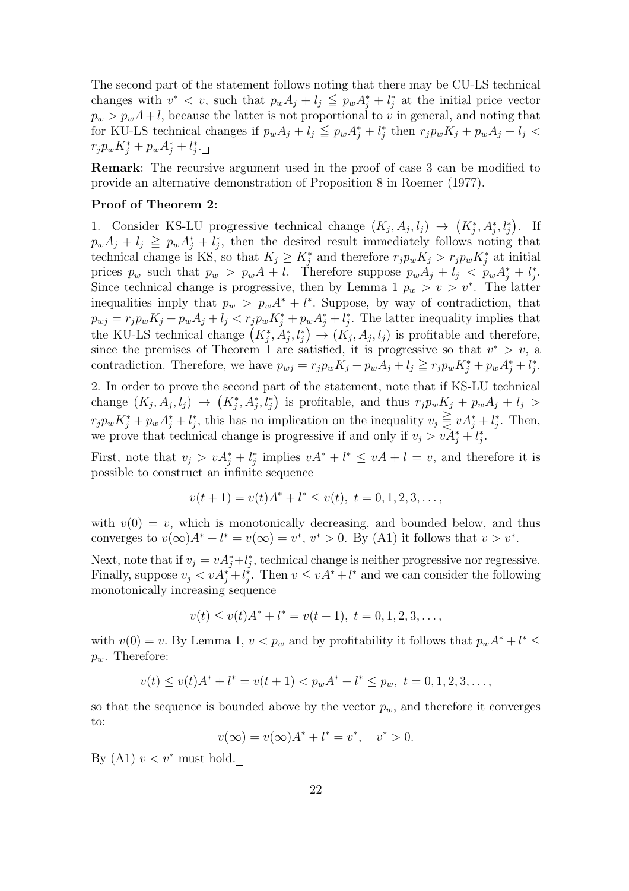The second part of the statement follows noting that there may be CU-LS technical changes with  $v^* < v$ , such that  $p_w A_j + l_j \leq p_w A_j^* + l_j^*$  at the initial price vector  $p_w > p_w A + l$ , because the latter is not proportional to v in general, and noting that for KU-LS technical changes if  $p_w A_j + l_j \leq p_w A_j^* + l_j^*$  then  $r_j p_w K_j + p_w A_j + l_j <$  $r_j p_w K_j^* + p_w A_j^* + l_j^*.$ 

Remark: The recursive argument used in the proof of case 3 can be modified to provide an alternative demonstration of Proposition 8 in Roemer (1977).

#### Proof of Theorem 2:

1. Consider KS-LU progressive technical change  $(K_j, A_j, l_j) \rightarrow$ ¡  $K_j^*, A_j^*, l_j^*$ ¢ . If  $p_w A_j + l_j \geq p_w A_j^* + l_j^*$ , then the desired result immediately follows noting that technical change is KS, so that  $K_j \geq K_j^*$  and therefore  $r_j p_w K_j > r_j p_w K_j^*$  at initial prices  $p_w$  such that  $p_w > p_w A + l$ . Therefore suppose  $p_w A_j + l_j < p_w A_j^* + l_j^*$ . Since technical change is progressive, then by Lemma 1  $p_w > v > v^*$ . The latter inequalities imply that  $p_w > p_w A^* + l^*$ . Suppose, by way of contradiction, that  $p_{wj} = r_j p_w K_j + p_w A_j + l_j < r_j p_w K_j^* + p_w A_j^* + l_j^*$ . The latter inequality implies that  $p_{wj} = r_j p_w \Lambda_j + p_w A_j + t_j \leq r_j p_w \Lambda_j + p_w A_j + t_j$ . The latter mequanty implies that<br>the KU-LS technical change  $(K_j^*, A_j^*, l_j^*) \to (K_j, A_j, l_j)$  is profitable and therefore, since the premises of Theorem 1 are satisfied, it is progressive so that  $v^* > v$ , a contradiction. Therefore, we have  $p_{wj} = r_j p_w K_j + p_w A_j + l_j \geq r_j p_w K_j^* + p_w A_j^* + l_j^*$ .

2. In order to prove the second part of the statement, note that if KS-LU technical change  $(K_j, A_j, l_j) \rightarrow (K_j^*, A_j^*, l_j^*)$  is profitable, and thus  $r_j p_w K_j + p_w A_j + l_j >$  $r_j p_w K_j^* + p_w A_j^* + l_j^*$ , this has no implication on the inequality  $v_j \geqq v A_j^* + l_j^*$ . Then, we prove that technical change is progressive if and only if  $v_j > v \tilde{A}_j^* + l_j^*$ .

First, note that  $v_j > vA_j^* + l_j^*$  implies  $vA^* + l^* \le vA + l = v$ , and therefore it is possible to construct an infinite sequence

$$
v(t+1) = v(t)A^* + l^* \le v(t), \ t = 0, 1, 2, 3, \dots,
$$

with  $v(0) = v$ , which is monotonically decreasing, and bounded below, and thus converges to  $v(\infty)A^* + l^* = v(\infty) = v^*$ ,  $v^* > 0$ . By (A1) it follows that  $v > v^*$ .

Next, note that if  $v_j = v A_j^* + l_j^*$ , technical change is neither progressive nor regressive. Finally, suppose  $v_j < v A_j^* + l_j^*$ . Then  $v \le v A^* + l^*$  and we can consider the following monotonically increasing sequence

$$
v(t) \le v(t)A^* + l^* = v(t+1), \ t = 0, 1, 2, 3, \dots,
$$

with  $v(0) = v$ . By Lemma 1,  $v < p_w$  and by profitability it follows that  $p_w A^* + l^* \leq$  $p_w$ . Therefore:

$$
v(t) \le v(t)A^* + l^* = v(t+1) < p_w A^* + l^* \le p_w, \ t = 0, 1, 2, 3, \dots
$$

so that the sequence is bounded above by the vector  $p_w$ , and therefore it converges to:

$$
v(\infty) = v(\infty)A^* + l^* = v^*, \quad v^* > 0.
$$

By (A1)  $v < v^*$  must hold.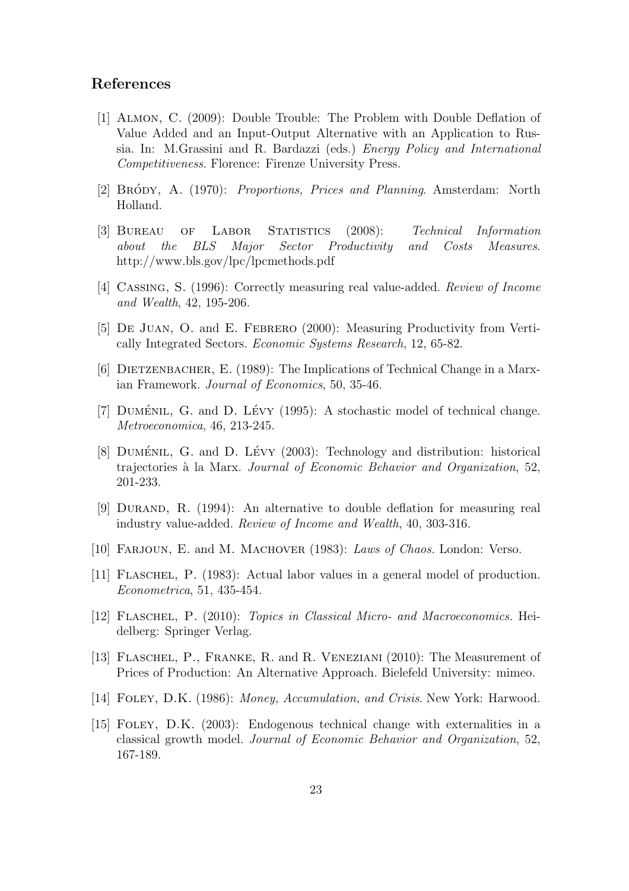#### References

- [1] Almon, C. (2009): Double Trouble: The Problem with Double Deflation of Value Added and an Input-Output Alternative with an Application to Russia. In: M.Grassini and R. Bardazzi (eds.) Energy Policy and International Competitiveness. Florence: Firenze University Press.
- [2] BRÓDY, A. (1970): *Proportions, Prices and Planning.* Amsterdam: North Holland.
- [3] Bureau of Labor Statistics (2008): Technical Information about the BLS Major Sector Productivity and Costs Measures. http://www.bls.gov/lpc/lpcmethods.pdf
- [4] Cassing, S. (1996): Correctly measuring real value-added. Review of Income and Wealth, 42, 195-206.
- [5] De Juan, O. and E. Febrero (2000): Measuring Productivity from Vertically Integrated Sectors. Economic Systems Research, 12, 65-82.
- [6] Dietzenbacher, E. (1989): The Implications of Technical Change in a Marxian Framework. Journal of Economics, 50, 35-46.
- [7] DUMÉNIL, G. and D. LÉVY  $(1995)$ : A stochastic model of technical change. Metroeconomica, 46, 213-245.
- [8] DUMÉNIL, G. and D. LÉVY  $(2003)$ : Technology and distribution: historical trajectories à la Marx. Journal of Economic Behavior and Organization, 52, 201-233.
- [9] Durand, R. (1994): An alternative to double deflation for measuring real industry value-added. Review of Income and Wealth, 40, 303-316.
- [10] Farjoun, E. and M. Machover (1983): Laws of Chaos. London: Verso.
- [11] Flaschel, P. (1983): Actual labor values in a general model of production. Econometrica, 51, 435-454.
- [12] FLASCHEL, P. (2010): *Topics in Classical Micro- and Macroeconomics*. Heidelberg: Springer Verlag.
- [13] FLASCHEL, P., FRANKE, R. and R. VENEZIANI (2010): The Measurement of Prices of Production: An Alternative Approach. Bielefeld University: mimeo.
- [14] FOLEY, D.K. (1986): Money, Accumulation, and Crisis. New York: Harwood.
- [15] Foley, D.K. (2003): Endogenous technical change with externalities in a classical growth model. Journal of Economic Behavior and Organization, 52, 167-189.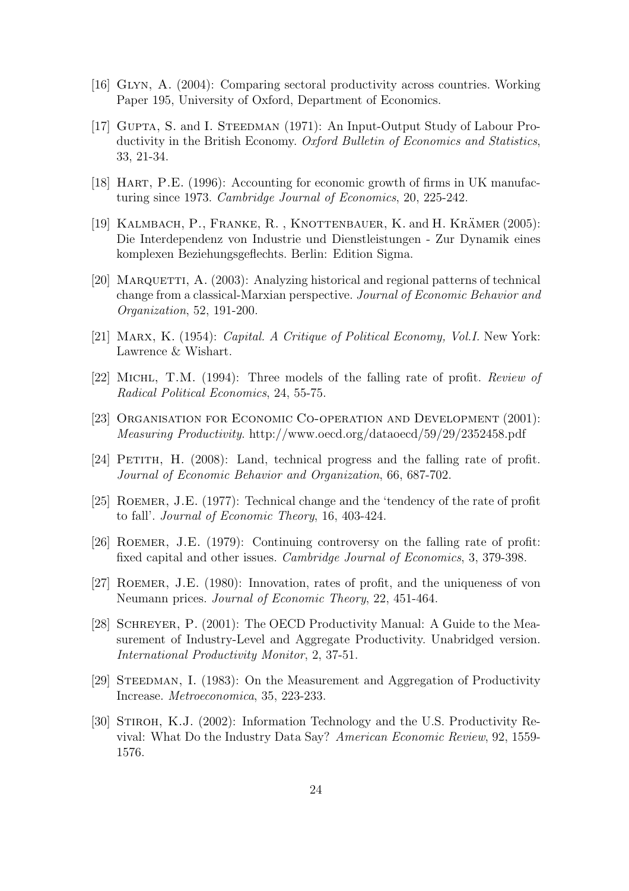- [16] Glyn, A. (2004): Comparing sectoral productivity across countries. Working Paper 195, University of Oxford, Department of Economics.
- [17] GUPTA, S. and I. STEEDMAN (1971): An Input-Output Study of Labour Productivity in the British Economy. Oxford Bulletin of Economics and Statistics, 33, 21-34.
- [18] Hart, P.E. (1996): Accounting for economic growth of firms in UK manufacturing since 1973. Cambridge Journal of Economics, 20, 225-242.
- [19] KALMBACH, P., FRANKE, R., KNOTTENBAUER, K. and H. KRÄMER  $(2005)$ : Die Interdependenz von Industrie und Dienstleistungen - Zur Dynamik eines komplexen Beziehungsgeflechts. Berlin: Edition Sigma.
- [20] MARQUETTI, A.  $(2003)$ : Analyzing historical and regional patterns of technical change from a classical-Marxian perspective. Journal of Economic Behavior and Organization, 52, 191-200.
- [21] Marx, K. (1954): Capital. A Critique of Political Economy, Vol.I. New York: Lawrence & Wishart.
- [22] Michl, T.M. (1994): Three models of the falling rate of profit. Review of Radical Political Economics, 24, 55-75.
- [23] Organisation for Economic Co-operation and Development (2001): Measuring Productivity. http://www.oecd.org/dataoecd/59/29/2352458.pdf
- [24] Petith, H. (2008): Land, technical progress and the falling rate of profit. Journal of Economic Behavior and Organization, 66, 687-702.
- [25] Roemer, J.E. (1977): Technical change and the 'tendency of the rate of profit to fall'. Journal of Economic Theory, 16, 403-424.
- [26] Roemer, J.E. (1979): Continuing controversy on the falling rate of profit: fixed capital and other issues. Cambridge Journal of Economics, 3, 379-398.
- [27] Roemer, J.E. (1980): Innovation, rates of profit, and the uniqueness of von Neumann prices. Journal of Economic Theory, 22, 451-464.
- [28] SCHREYER, P. (2001): The OECD Productivity Manual: A Guide to the Measurement of Industry-Level and Aggregate Productivity. Unabridged version. International Productivity Monitor, 2, 37-51.
- [29] Steedman, I. (1983): On the Measurement and Aggregation of Productivity Increase. Metroeconomica, 35, 223-233.
- [30] Stiroh, K.J. (2002): Information Technology and the U.S. Productivity Revival: What Do the Industry Data Say? American Economic Review, 92, 1559- 1576.